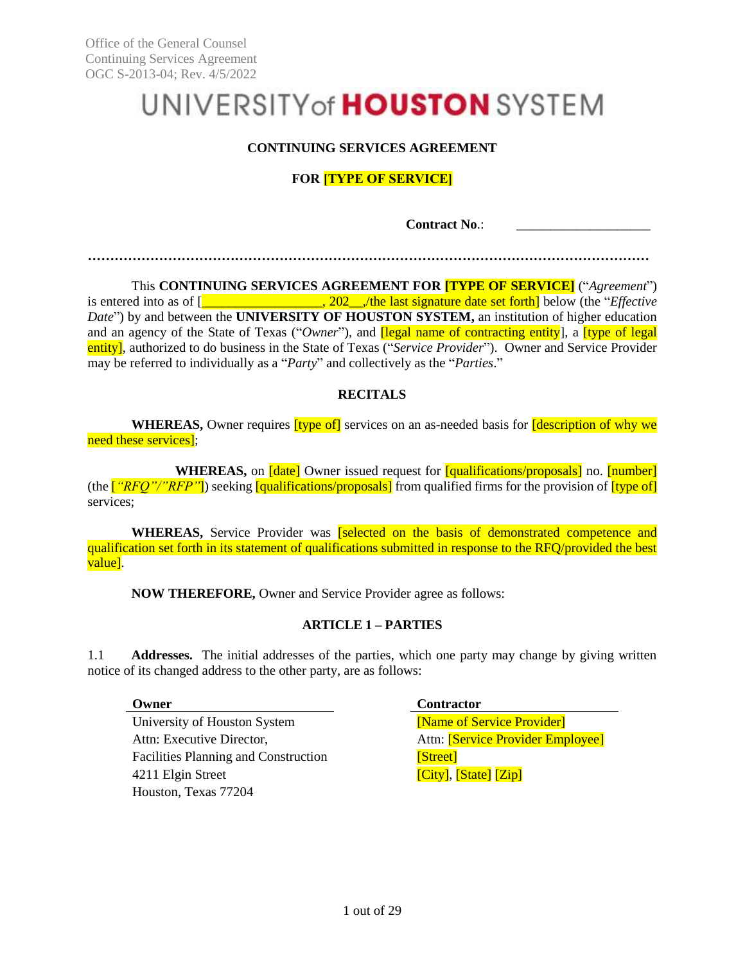# UNIVERSITY of **HOUSTON** SYSTEM

# **CONTINUING SERVICES AGREEMENT**

# **FOR [TYPE OF SERVICE]**

**Contract No**.:

**………………………………………………………………………………………………………………**

This **CONTINUING SERVICES AGREEMENT FOR [TYPE OF SERVICE]** ("*Agreement*") is entered into as of [\_\_\_\_\_\_\_\_\_\_\_\_\_\_\_\_\_\_, 202\_\_,/the last signature date set forth] below (the "*Effective Date*") by and between the **UNIVERSITY OF HOUSTON SYSTEM,** an institution of higher education and an agency of the State of Texas ("*Owner*"), and **[legal name of contracting entity**], a **[type of legal** entity], authorized to do business in the State of Texas ("*Service Provider*"). Owner and Service Provider may be referred to individually as a "*Party*" and collectively as the "*Parties*."

# **RECITALS**

WHEREAS, Owner requires *[type of]* services on an as-needed basis for *[description of why we* need these services];

**WHEREAS**, on *date* Owner issued request for **qualifications/proposals** no. **[number]** (the [*"RFQ"/"RFP"*]) seeking [qualifications/proposals] from qualified firms for the provision of [type of] services;

WHEREAS, Service Provider was **[selected on the basis of demonstrated competence and** qualification set forth in its statement of qualifications submitted in response to the RFQ/provided the best value].

**NOW THEREFORE,** Owner and Service Provider agree as follows:

# **ARTICLE 1 – PARTIES**

1.1 **Addresses.** The initial addresses of the parties, which one party may change by giving written notice of its changed address to the other party, are as follows:

University of Houston System **[Name of Service Provider**] Attn: Executive Director, and Attn: **[Service Provider Employee]** Facilities Planning and Construction [Street] 4211 Elgin Street **[City]**, [State] [Zip] Houston, Texas 77204

**Owner Contractor**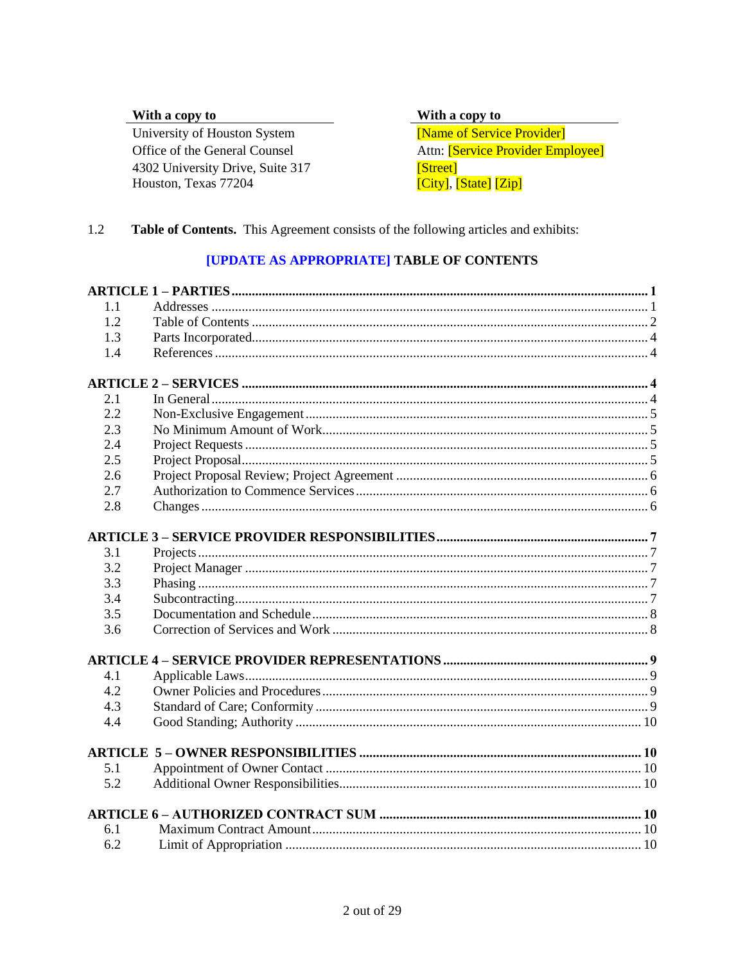# With a copy to

University of Houston System Office of the General Counsel 4302 University Drive, Suite 317 Houston, Texas 77204

With a copy to

[Name of Service Provider] Attn: [Service Provider Employee] [Street]  $\overline{[City]}, \overline{[State]}$   $\overline{[Zip]}$ 

#### $1.2$ Table of Contents. This Agreement consists of the following articles and exhibits:

# [UPDATE AS APPROPRIATE] TABLE OF CONTENTS

| 1.1 |  |
|-----|--|
| 1.2 |  |
| 1.3 |  |
| 1.4 |  |
|     |  |
| 2.1 |  |
| 2.2 |  |
| 2.3 |  |
| 2.4 |  |
| 2.5 |  |
| 2.6 |  |
| 2.7 |  |
| 2.8 |  |
|     |  |
| 3.1 |  |
| 3.2 |  |
| 3.3 |  |
| 3.4 |  |
| 3.5 |  |
| 3.6 |  |
|     |  |
| 4.1 |  |
| 4.2 |  |
| 4.3 |  |
| 4.4 |  |
|     |  |
| 5.1 |  |
| 5.2 |  |
|     |  |
| 6.1 |  |
| 6.2 |  |
|     |  |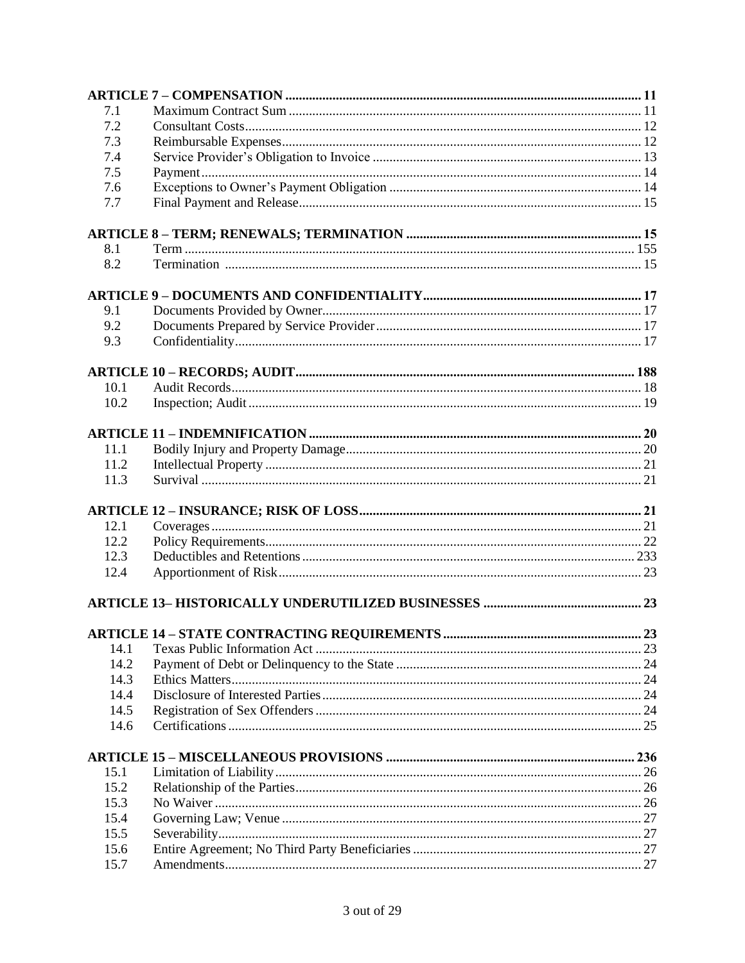| 7.1  |     |
|------|-----|
| 7.2  |     |
| 7.3  |     |
| 7.4  |     |
| 7.5  |     |
| 7.6  |     |
| 7.7  |     |
|      |     |
| 8.1  |     |
| 8.2  |     |
|      |     |
| 9.1  |     |
| 9.2  |     |
| 9.3  |     |
|      |     |
| 10.1 |     |
| 10.2 |     |
|      |     |
|      |     |
| 11.1 |     |
| 11.2 |     |
| 11.3 |     |
|      |     |
| 12.1 |     |
| 12.2 |     |
| 12.3 |     |
| 12.4 |     |
|      |     |
|      |     |
|      | .23 |
| 14.1 |     |
| 14.2 |     |
| 14.3 |     |
| 14.4 |     |
| 14.5 |     |
| 14.6 |     |
|      |     |
| 15.1 |     |
| 15.2 |     |
|      |     |
| 15.3 |     |
| 15.4 |     |
| 15.5 |     |
| 15.6 |     |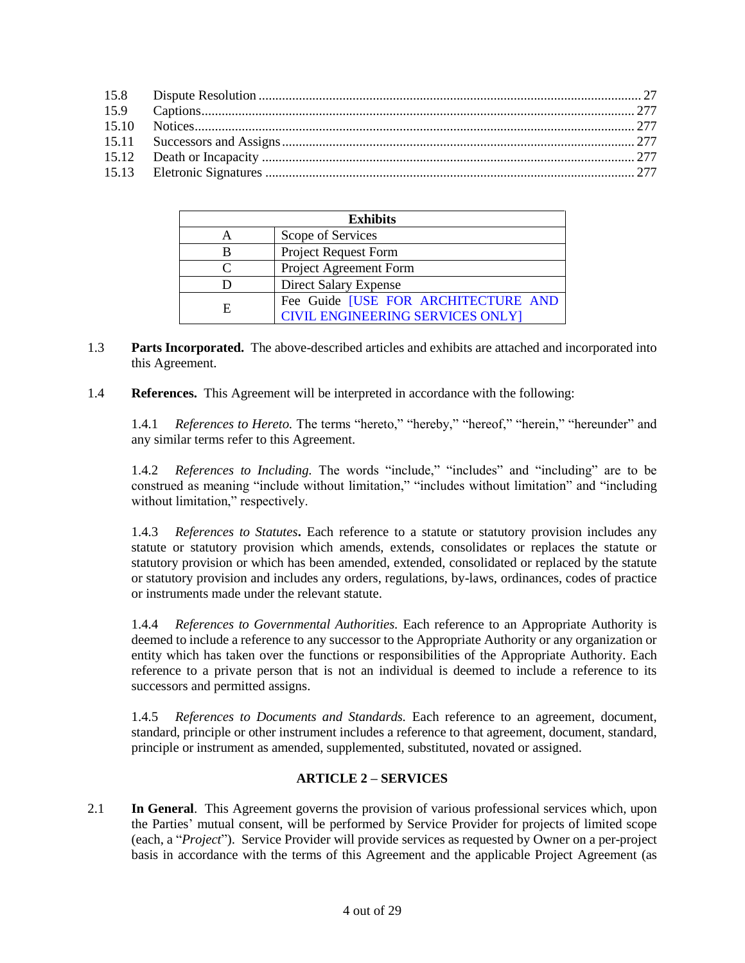| <b>Exhibits</b> |                                                                         |  |
|-----------------|-------------------------------------------------------------------------|--|
|                 | Scope of Services                                                       |  |
| B               | Project Request Form                                                    |  |
|                 | Project Agreement Form                                                  |  |
|                 | Direct Salary Expense                                                   |  |
| E               | Fee Guide [USE FOR ARCHITECTURE AND<br>CIVIL ENGINEERING SERVICES ONLY] |  |

- 1.3 **Parts Incorporated.** The above-described articles and exhibits are attached and incorporated into this Agreement.
- <span id="page-3-0"></span>1.4 **References.** This Agreement will be interpreted in accordance with the following:

1.4.1 *References to Hereto.* The terms "hereto," "hereby," "hereof," "herein," "hereunder" and any similar terms refer to this Agreement.

1.4.2 *References to Including.* The words "include," "includes" and "including" are to be construed as meaning "include without limitation," "includes without limitation" and "including without limitation," respectively.

1.4.3 *References to Statutes***.** Each reference to a statute or statutory provision includes any statute or statutory provision which amends, extends, consolidates or replaces the statute or statutory provision or which has been amended, extended, consolidated or replaced by the statute or statutory provision and includes any orders, regulations, by-laws, ordinances, codes of practice or instruments made under the relevant statute.

1.4.4 *References to Governmental Authorities.* Each reference to an Appropriate Authority is deemed to include a reference to any successor to the Appropriate Authority or any organization or entity which has taken over the functions or responsibilities of the Appropriate Authority. Each reference to a private person that is not an individual is deemed to include a reference to its successors and permitted assigns.

1.4.5 *References to Documents and Standards.* Each reference to an agreement, document, standard, principle or other instrument includes a reference to that agreement, document, standard, principle or instrument as amended, supplemented, substituted, novated or assigned.

# **ARTICLE 2 – SERVICES**

<span id="page-3-1"></span>2.1 **In General**. This Agreement governs the provision of various professional services which, upon the Parties' mutual consent, will be performed by Service Provider for projects of limited scope (each, a "*Project*"). Service Provider will provide services as requested by Owner on a per-project basis in accordance with the terms of this Agreement and the applicable Project Agreement (as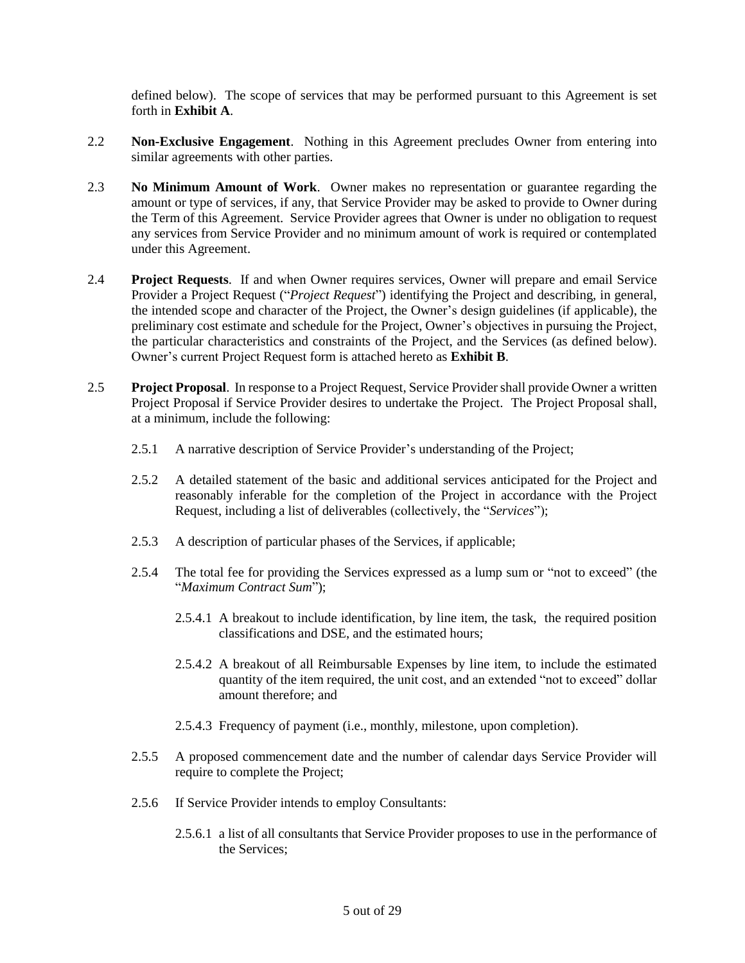defined below). The scope of services that may be performed pursuant to this Agreement is set forth in **Exhibit A**.

- <span id="page-4-0"></span>2.2 **Non-Exclusive Engagement**. Nothing in this Agreement precludes Owner from entering into similar agreements with other parties.
- <span id="page-4-1"></span>2.3 **No Minimum Amount of Work**. Owner makes no representation or guarantee regarding the amount or type of services, if any, that Service Provider may be asked to provide to Owner during the Term of this Agreement. Service Provider agrees that Owner is under no obligation to request any services from Service Provider and no minimum amount of work is required or contemplated under this Agreement.
- <span id="page-4-2"></span>2.4 **Project Requests**. If and when Owner requires services, Owner will prepare and email Service Provider a Project Request ("*Project Request*") identifying the Project and describing, in general, the intended scope and character of the Project, the Owner's design guidelines (if applicable), the preliminary cost estimate and schedule for the Project, Owner's objectives in pursuing the Project, the particular characteristics and constraints of the Project, and the Services (as defined below). Owner's current Project Request form is attached hereto as **Exhibit B**.
- <span id="page-4-3"></span>2.5 **Project Proposal**. In response to a Project Request, Service Provider shall provide Owner a written Project Proposal if Service Provider desires to undertake the Project. The Project Proposal shall, at a minimum, include the following:
	- 2.5.1 A narrative description of Service Provider's understanding of the Project;
	- 2.5.2 A detailed statement of the basic and additional services anticipated for the Project and reasonably inferable for the completion of the Project in accordance with the Project Request, including a list of deliverables (collectively, the "*Services*");
	- 2.5.3 A description of particular phases of the Services, if applicable;
	- 2.5.4 The total fee for providing the Services expressed as a lump sum or "not to exceed" (the "*Maximum Contract Sum*");
		- 2.5.4.1 A breakout to include identification, by line item, the task, the required position classifications and DSE, and the estimated hours;
		- 2.5.4.2 A breakout of all Reimbursable Expenses by line item, to include the estimated quantity of the item required, the unit cost, and an extended "not to exceed" dollar amount therefore; and
		- 2.5.4.3 Frequency of payment (i.e., monthly, milestone, upon completion).
	- 2.5.5 A proposed commencement date and the number of calendar days Service Provider will require to complete the Project;
	- 2.5.6 If Service Provider intends to employ Consultants:
		- 2.5.6.1 a list of all consultants that Service Provider proposes to use in the performance of the Services;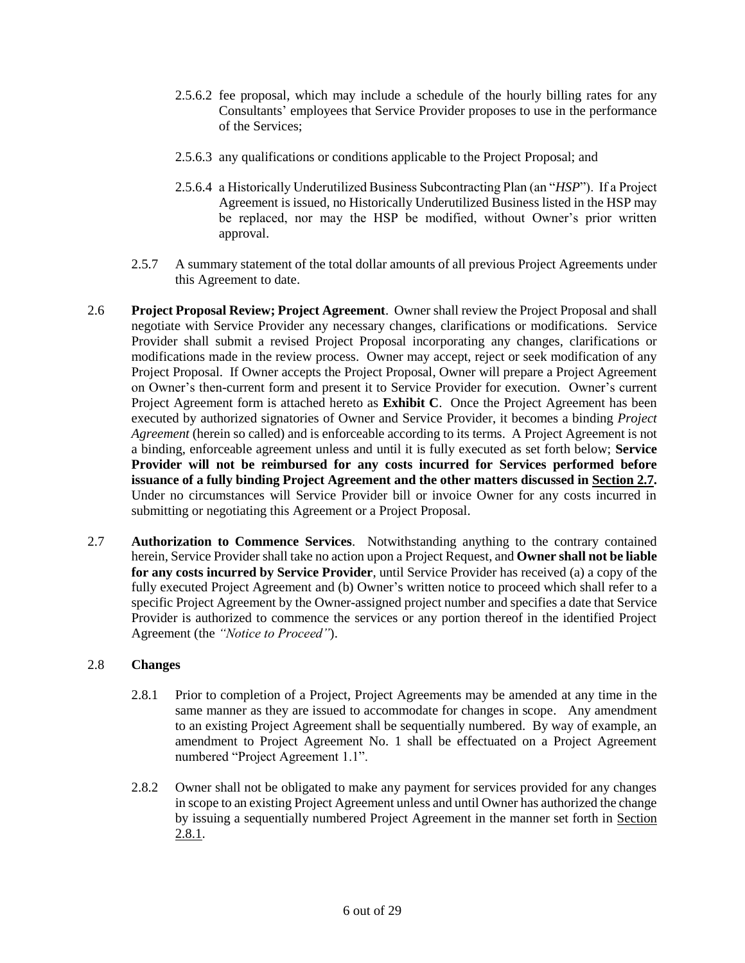- 2.5.6.2 fee proposal, which may include a schedule of the hourly billing rates for any Consultants' employees that Service Provider proposes to use in the performance of the Services;
- 2.5.6.3 any qualifications or conditions applicable to the Project Proposal; and
- 2.5.6.4 a Historically Underutilized Business Subcontracting Plan (an "*HSP*"). If a Project Agreement is issued, no Historically Underutilized Business listed in the HSP may be replaced, nor may the HSP be modified, without Owner's prior written approval.
- 2.5.7 A summary statement of the total dollar amounts of all previous Project Agreements under this Agreement to date.
- <span id="page-5-0"></span>2.6 **Project Proposal Review; Project Agreement**. Owner shall review the Project Proposal and shall negotiate with Service Provider any necessary changes, clarifications or modifications. Service Provider shall submit a revised Project Proposal incorporating any changes, clarifications or modifications made in the review process. Owner may accept, reject or seek modification of any Project Proposal. If Owner accepts the Project Proposal, Owner will prepare a Project Agreement on Owner's then-current form and present it to Service Provider for execution. Owner's current Project Agreement form is attached hereto as **Exhibit C**. Once the Project Agreement has been executed by authorized signatories of Owner and Service Provider, it becomes a binding *Project Agreement* (herein so called) and is enforceable according to its terms. A Project Agreement is not a binding, enforceable agreement unless and until it is fully executed as set forth below; **Service Provider will not be reimbursed for any costs incurred for Services performed before issuance of a fully binding Project Agreement and the other matters discussed in Sectio[n 2.7.](#page-5-1)** Under no circumstances will Service Provider bill or invoice Owner for any costs incurred in submitting or negotiating this Agreement or a Project Proposal.
- <span id="page-5-1"></span>2.7 **Authorization to Commence Services**. Notwithstanding anything to the contrary contained herein, Service Provider shall take no action upon a Project Request, and **Owner shall not be liable for any costs incurred by Service Provider**, until Service Provider has received (a) a copy of the fully executed Project Agreement and (b) Owner's written notice to proceed which shall refer to a specific Project Agreement by the Owner-assigned project number and specifies a date that Service Provider is authorized to commence the services or any portion thereof in the identified Project Agreement (the *"Notice to Proceed"*).

#### <span id="page-5-2"></span>2.8 **Changes**

- 2.8.1 Prior to completion of a Project, Project Agreements may be amended at any time in the same manner as they are issued to accommodate for changes in scope. Any amendment to an existing Project Agreement shall be sequentially numbered. By way of example, an amendment to Project Agreement No. 1 shall be effectuated on a Project Agreement numbered "Project Agreement 1.1".
- 2.8.2 Owner shall not be obligated to make any payment for services provided for any changes in scope to an existing Project Agreement unless and until Owner has authorized the change by issuing a sequentially numbered Project Agreement in the manner set forth in Section 2.8.1.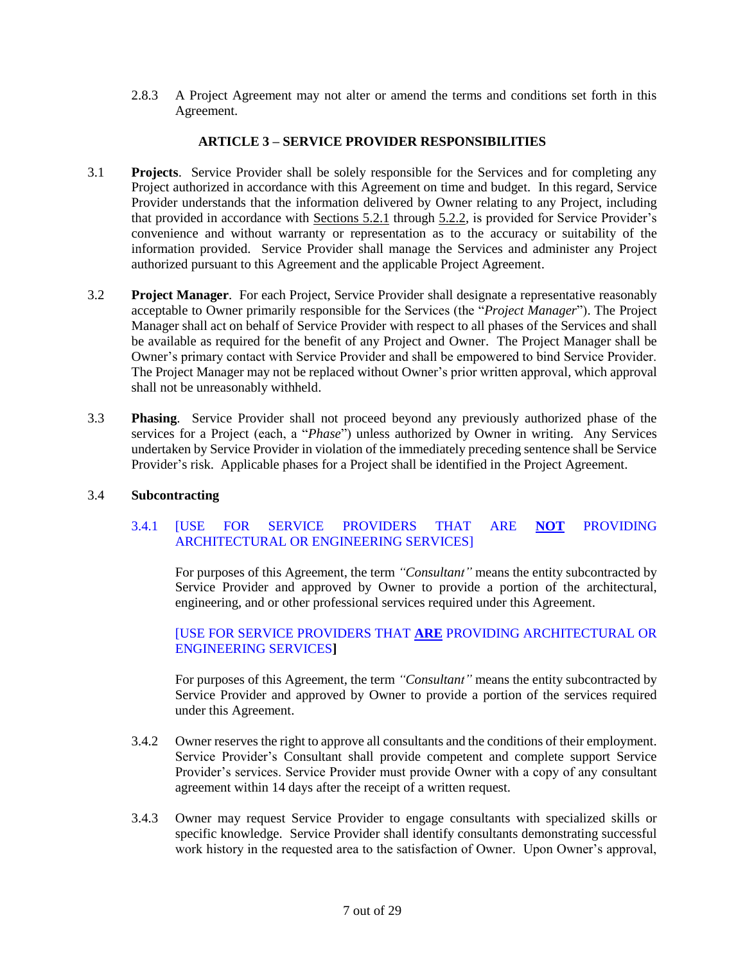2.8.3 A Project Agreement may not alter or amend the terms and conditions set forth in this Agreement.

### **ARTICLE 3 – SERVICE PROVIDER RESPONSIBILITIES**

- <span id="page-6-1"></span><span id="page-6-0"></span>3.1 **Projects**. Service Provider shall be solely responsible for the Services and for completing any Project authorized in accordance with this Agreement on time and budget. In this regard, Service Provider understands that the information delivered by Owner relating to any Project, including that provided in accordance with Sections [5.2.1](#page-9-5) through [5.2.2,](#page-9-6) is provided for Service Provider's convenience and without warranty or representation as to the accuracy or suitability of the information provided. Service Provider shall manage the Services and administer any Project authorized pursuant to this Agreement and the applicable Project Agreement.
- <span id="page-6-2"></span>3.2 **Project Manager**. For each Project, Service Provider shall designate a representative reasonably acceptable to Owner primarily responsible for the Services (the "*Project Manager*"). The Project Manager shall act on behalf of Service Provider with respect to all phases of the Services and shall be available as required for the benefit of any Project and Owner. The Project Manager shall be Owner's primary contact with Service Provider and shall be empowered to bind Service Provider. The Project Manager may not be replaced without Owner's prior written approval, which approval shall not be unreasonably withheld.
- 3.3 **Phasing**. Service Provider shall not proceed beyond any previously authorized phase of the services for a Project (each, a "*Phase*") unless authorized by Owner in writing. Any Services undertaken by Service Provider in violation of the immediately preceding sentence shall be Service Provider's risk. Applicable phases for a Project shall be identified in the Project Agreement.

#### <span id="page-6-4"></span>3.4 **Subcontracting**

### <span id="page-6-3"></span>3.4.1 [USE FOR SERVICE PROVIDERS THAT ARE **NOT** PROVIDING ARCHITECTURAL OR ENGINEERING SERVICES]

For purposes of this Agreement, the term *"Consultant"* means the entity subcontracted by Service Provider and approved by Owner to provide a portion of the architectural, engineering, and or other professional services required under this Agreement.

### [USE FOR SERVICE PROVIDERS THAT **ARE** PROVIDING ARCHITECTURAL OR ENGINEERING SERVICES**]**

For purposes of this Agreement, the term *"Consultant"* means the entity subcontracted by Service Provider and approved by Owner to provide a portion of the services required under this Agreement.

- 3.4.2 Owner reserves the right to approve all consultants and the conditions of their employment. Service Provider's Consultant shall provide competent and complete support Service Provider's services. Service Provider must provide Owner with a copy of any consultant agreement within 14 days after the receipt of a written request.
- 3.4.3 Owner may request Service Provider to engage consultants with specialized skills or specific knowledge. Service Provider shall identify consultants demonstrating successful work history in the requested area to the satisfaction of Owner. Upon Owner's approval,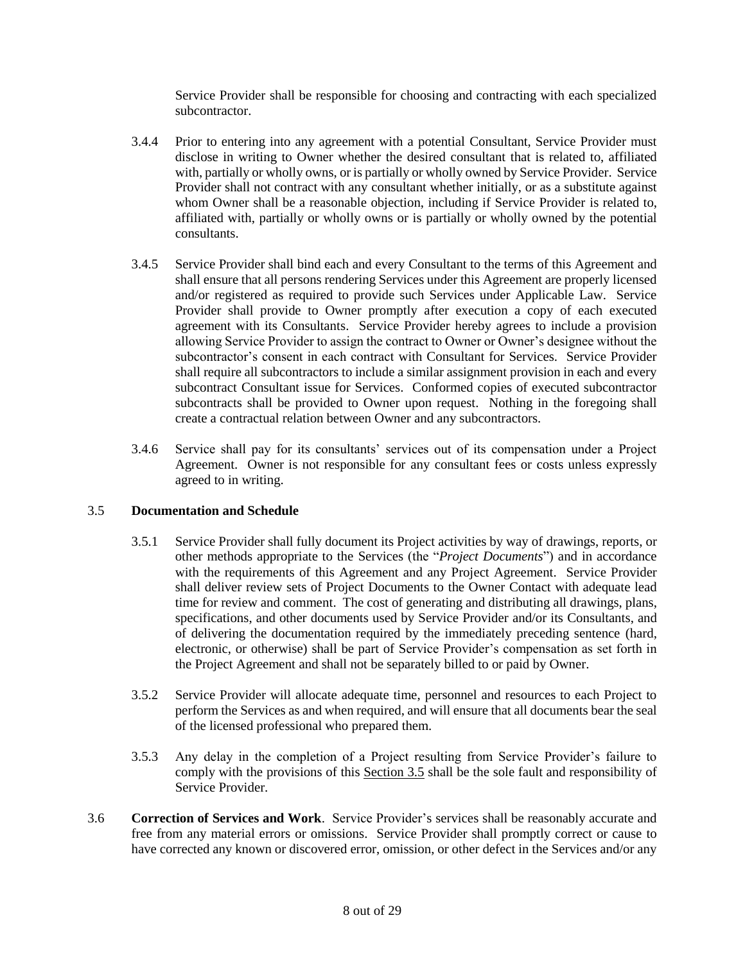Service Provider shall be responsible for choosing and contracting with each specialized subcontractor.

- 3.4.4 Prior to entering into any agreement with a potential Consultant, Service Provider must disclose in writing to Owner whether the desired consultant that is related to, affiliated with, partially or wholly owns, or is partially or wholly owned by Service Provider. Service Provider shall not contract with any consultant whether initially, or as a substitute against whom Owner shall be a reasonable objection, including if Service Provider is related to, affiliated with, partially or wholly owns or is partially or wholly owned by the potential consultants.
- 3.4.5 Service Provider shall bind each and every Consultant to the terms of this Agreement and shall ensure that all persons rendering Services under this Agreement are properly licensed and/or registered as required to provide such Services under Applicable Law. Service Provider shall provide to Owner promptly after execution a copy of each executed agreement with its Consultants. Service Provider hereby agrees to include a provision allowing Service Provider to assign the contract to Owner or Owner's designee without the subcontractor's consent in each contract with Consultant for Services. Service Provider shall require all subcontractors to include a similar assignment provision in each and every subcontract Consultant issue for Services. Conformed copies of executed subcontractor subcontracts shall be provided to Owner upon request. Nothing in the foregoing shall create a contractual relation between Owner and any subcontractors.
- 3.4.6 Service shall pay for its consultants' services out of its compensation under a Project Agreement. Owner is not responsible for any consultant fees or costs unless expressly agreed to in writing.

#### <span id="page-7-0"></span>3.5 **Documentation and Schedule**

- 3.5.1 Service Provider shall fully document its Project activities by way of drawings, reports, or other methods appropriate to the Services (the "*Project Documents*") and in accordance with the requirements of this Agreement and any Project Agreement. Service Provider shall deliver review sets of Project Documents to the Owner Contact with adequate lead time for review and comment. The cost of generating and distributing all drawings, plans, specifications, and other documents used by Service Provider and/or its Consultants, and of delivering the documentation required by the immediately preceding sentence (hard, electronic, or otherwise) shall be part of Service Provider's compensation as set forth in the Project Agreement and shall not be separately billed to or paid by Owner.
- 3.5.2 Service Provider will allocate adequate time, personnel and resources to each Project to perform the Services as and when required, and will ensure that all documents bear the seal of the licensed professional who prepared them.
- 3.5.3 Any delay in the completion of a Project resulting from Service Provider's failure to comply with the provisions of this Section [3.5](#page-7-0) shall be the sole fault and responsibility of Service Provider.
- <span id="page-7-1"></span>3.6 **Correction of Services and Work**. Service Provider's services shall be reasonably accurate and free from any material errors or omissions. Service Provider shall promptly correct or cause to have corrected any known or discovered error, omission, or other defect in the Services and/or any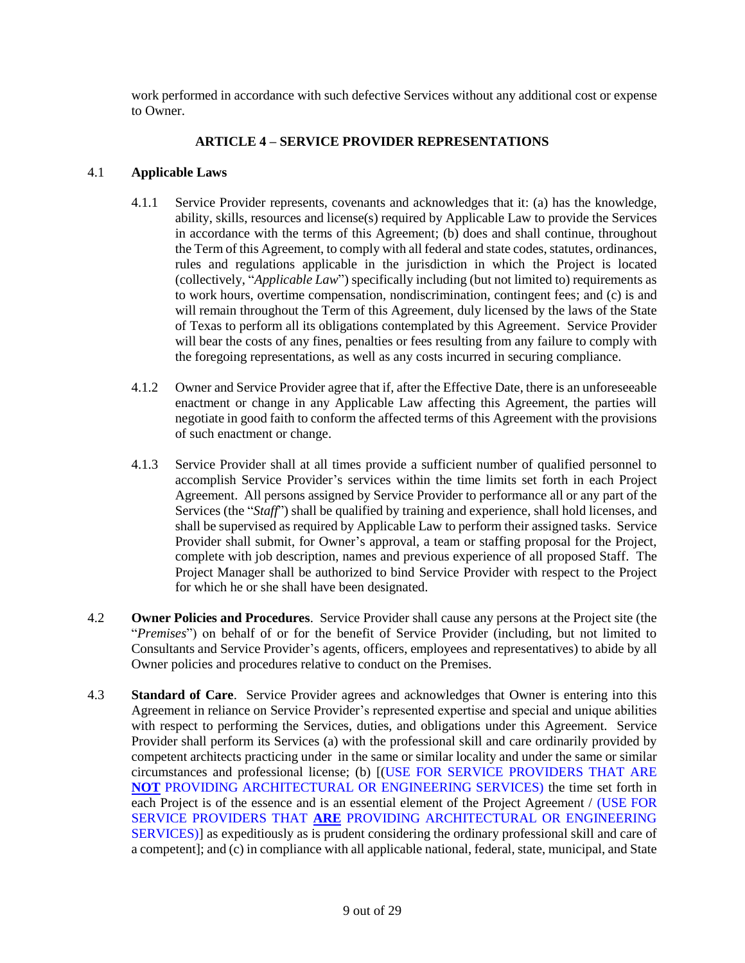work performed in accordance with such defective Services without any additional cost or expense to Owner.

# **ARTICLE 4 – SERVICE PROVIDER REPRESENTATIONS**

#### <span id="page-8-1"></span><span id="page-8-0"></span>4.1 **Applicable Laws**

- 4.1.1 Service Provider represents, covenants and acknowledges that it: (a) has the knowledge, ability, skills, resources and license(s) required by Applicable Law to provide the Services in accordance with the terms of this Agreement; (b) does and shall continue, throughout the Term of this Agreement, to comply with all federal and state codes, statutes, ordinances, rules and regulations applicable in the jurisdiction in which the Project is located (collectively, "*Applicable Law*") specifically including (but not limited to) requirements as to work hours, overtime compensation, nondiscrimination, contingent fees; and (c) is and will remain throughout the Term of this Agreement, duly licensed by the laws of the State of Texas to perform all its obligations contemplated by this Agreement. Service Provider will bear the costs of any fines, penalties or fees resulting from any failure to comply with the foregoing representations, as well as any costs incurred in securing compliance.
- 4.1.2 Owner and Service Provider agree that if, after the Effective Date, there is an unforeseeable enactment or change in any Applicable Law affecting this Agreement, the parties will negotiate in good faith to conform the affected terms of this Agreement with the provisions of such enactment or change.
- 4.1.3 Service Provider shall at all times provide a sufficient number of qualified personnel to accomplish Service Provider's services within the time limits set forth in each Project Agreement. All persons assigned by Service Provider to performance all or any part of the Services (the "*Staff*") shall be qualified by training and experience, shall hold licenses, and shall be supervised as required by Applicable Law to perform their assigned tasks. Service Provider shall submit, for Owner's approval, a team or staffing proposal for the Project, complete with job description, names and previous experience of all proposed Staff. The Project Manager shall be authorized to bind Service Provider with respect to the Project for which he or she shall have been designated.
- <span id="page-8-2"></span>4.2 **Owner Policies and Procedures**. Service Provider shall cause any persons at the Project site (the "*Premises*") on behalf of or for the benefit of Service Provider (including, but not limited to Consultants and Service Provider's agents, officers, employees and representatives) to abide by all Owner policies and procedures relative to conduct on the Premises.
- <span id="page-8-3"></span>4.3 **Standard of Care**. Service Provider agrees and acknowledges that Owner is entering into this Agreement in reliance on Service Provider's represented expertise and special and unique abilities with respect to performing the Services, duties, and obligations under this Agreement. Service Provider shall perform its Services (a) with the professional skill and care ordinarily provided by competent architects practicing under in the same or similar locality and under the same or similar circumstances and professional license; (b) [(USE FOR SERVICE PROVIDERS THAT ARE **NOT** PROVIDING ARCHITECTURAL OR ENGINEERING SERVICES) the time set forth in each Project is of the essence and is an essential element of the Project Agreement / (USE FOR SERVICE PROVIDERS THAT **ARE** PROVIDING ARCHITECTURAL OR ENGINEERING SERVICES)] as expeditiously as is prudent considering the ordinary professional skill and care of a competent]; and (c) in compliance with all applicable national, federal, state, municipal, and State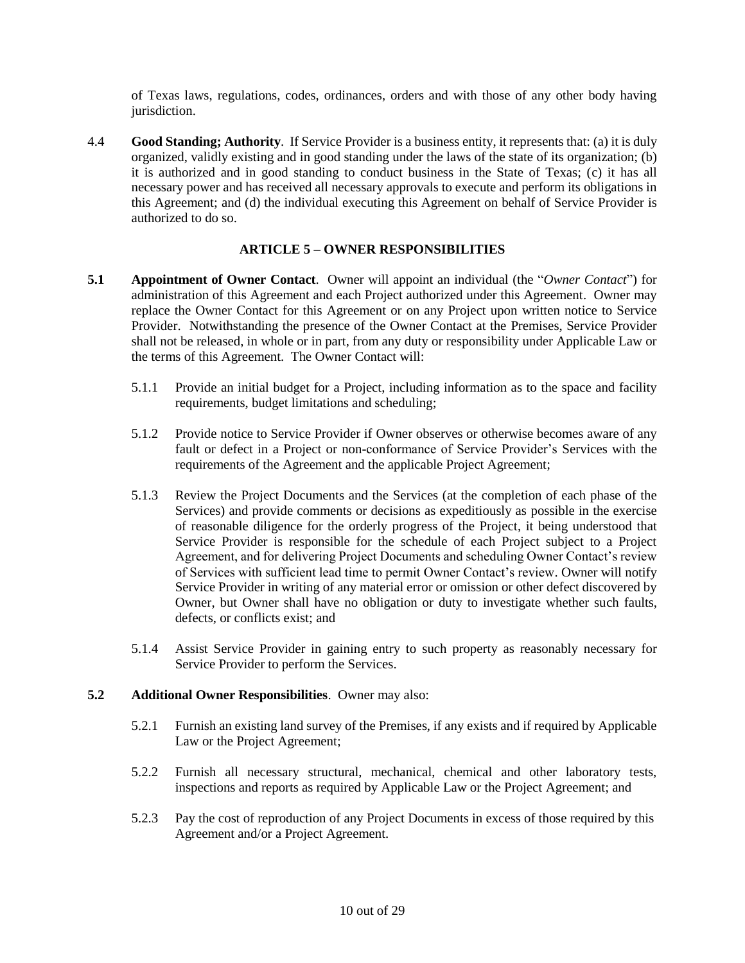of Texas laws, regulations, codes, ordinances, orders and with those of any other body having jurisdiction.

<span id="page-9-0"></span>4.4 **Good Standing; Authority**. If Service Provider is a business entity, it represents that: (a) it is duly organized, validly existing and in good standing under the laws of the state of its organization; (b) it is authorized and in good standing to conduct business in the State of Texas; (c) it has all necessary power and has received all necessary approvals to execute and perform its obligations in this Agreement; and (d) the individual executing this Agreement on behalf of Service Provider is authorized to do so.

### **ARTICLE 5 – OWNER RESPONSIBILITIES**

- <span id="page-9-2"></span><span id="page-9-1"></span>**5.1 Appointment of Owner Contact**. Owner will appoint an individual (the "*Owner Contact*") for administration of this Agreement and each Project authorized under this Agreement. Owner may replace the Owner Contact for this Agreement or on any Project upon written notice to Service Provider. Notwithstanding the presence of the Owner Contact at the Premises, Service Provider shall not be released, in whole or in part, from any duty or responsibility under Applicable Law or the terms of this Agreement. The Owner Contact will:
	- 5.1.1 Provide an initial budget for a Project, including information as to the space and facility requirements, budget limitations and scheduling;
	- 5.1.2 Provide notice to Service Provider if Owner observes or otherwise becomes aware of any fault or defect in a Project or non-conformance of Service Provider's Services with the requirements of the Agreement and the applicable Project Agreement;
	- 5.1.3 Review the Project Documents and the Services (at the completion of each phase of the Services) and provide comments or decisions as expeditiously as possible in the exercise of reasonable diligence for the orderly progress of the Project, it being understood that Service Provider is responsible for the schedule of each Project subject to a Project Agreement, and for delivering Project Documents and scheduling Owner Contact's review of Services with sufficient lead time to permit Owner Contact's review. Owner will notify Service Provider in writing of any material error or omission or other defect discovered by Owner, but Owner shall have no obligation or duty to investigate whether such faults, defects, or conflicts exist; and
	- 5.1.4 Assist Service Provider in gaining entry to such property as reasonably necessary for Service Provider to perform the Services.

#### <span id="page-9-5"></span><span id="page-9-3"></span>**5.2 Additional Owner Responsibilities**. Owner may also:

- 5.2.1 Furnish an existing land survey of the Premises, if any exists and if required by Applicable Law or the Project Agreement;
- <span id="page-9-6"></span>5.2.2 Furnish all necessary structural, mechanical, chemical and other laboratory tests, inspections and reports as required by Applicable Law or the Project Agreement; and
- <span id="page-9-4"></span>5.2.3 Pay the cost of reproduction of any Project Documents in excess of those required by this Agreement and/or a Project Agreement.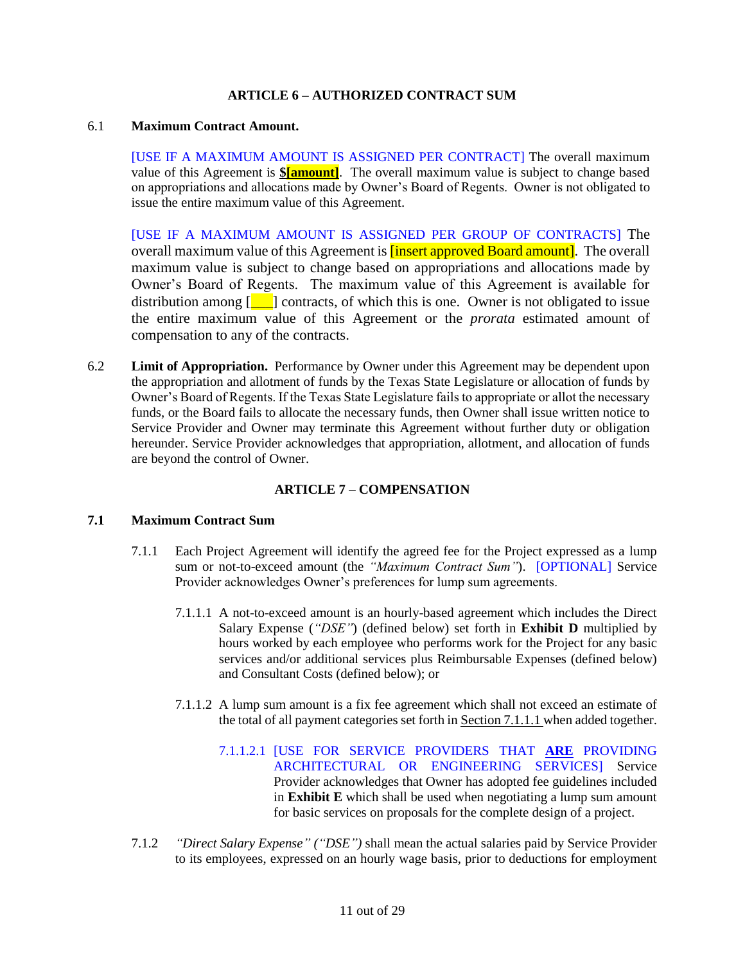#### **ARTICLE 6 – AUTHORIZED CONTRACT SUM**

#### 6.1 **Maximum Contract Amount.**

[USE IF A MAXIMUM AMOUNT IS ASSIGNED PER CONTRACT] The overall maximum value of this Agreement is **\$[amount]**. The overall maximum value is subject to change based on appropriations and allocations made by Owner's Board of Regents. Owner is not obligated to issue the entire maximum value of this Agreement.

[USE IF A MAXIMUM AMOUNT IS ASSIGNED PER GROUP OF CONTRACTS] The overall maximum value of this Agreement is **[insert approved Board amount]**. The overall maximum value is subject to change based on appropriations and allocations made by Owner's Board of Regents. The maximum value of this Agreement is available for distribution among  $\begin{bmatrix} 1 \\ 1 \end{bmatrix}$  contracts, of which this is one. Owner is not obligated to issue the entire maximum value of this Agreement or the *prorata* estimated amount of compensation to any of the contracts.

6.2 **Limit of Appropriation.** Performance by Owner under this Agreement may be dependent upon the appropriation and allotment of funds by the Texas State Legislature or allocation of funds by Owner's Board of Regents. If the Texas State Legislature fails to appropriate or allot the necessary funds, or the Board fails to allocate the necessary funds, then Owner shall issue written notice to Service Provider and Owner may terminate this Agreement without further duty or obligation hereunder. Service Provider acknowledges that appropriation, allotment, and allocation of funds are beyond the control of Owner.

#### **ARTICLE 7 – COMPENSATION**

#### <span id="page-10-0"></span>**7.1 Maximum Contract Sum**

- 7.1.1 Each Project Agreement will identify the agreed fee for the Project expressed as a lump sum or not-to-exceed amount (the *"Maximum Contract Sum"*). [OPTIONAL] Service Provider acknowledges Owner's preferences for lump sum agreements.
	- 7.1.1.1 A not-to-exceed amount is an hourly-based agreement which includes the Direct Salary Expense (*"DSE"*) (defined below) set forth in **Exhibit D** multiplied by hours worked by each employee who performs work for the Project for any basic services and/or additional services plus Reimbursable Expenses (defined below) and Consultant Costs (defined below); or
	- 7.1.1.2 A lump sum amount is a fix fee agreement which shall not exceed an estimate of the total of all payment categories set forth in Section 7.1.1.1 when added together.
		- 7.1.1.2.1 [USE FOR SERVICE PROVIDERS THAT **ARE** PROVIDING ARCHITECTURAL OR ENGINEERING SERVICES] Service Provider acknowledges that Owner has adopted fee guidelines included in **Exhibit E** which shall be used when negotiating a lump sum amount for basic services on proposals for the complete design of a project.
- 7.1.2 *"Direct Salary Expense" ("DSE")* shall mean the actual salaries paid by Service Provider to its employees, expressed on an hourly wage basis, prior to deductions for employment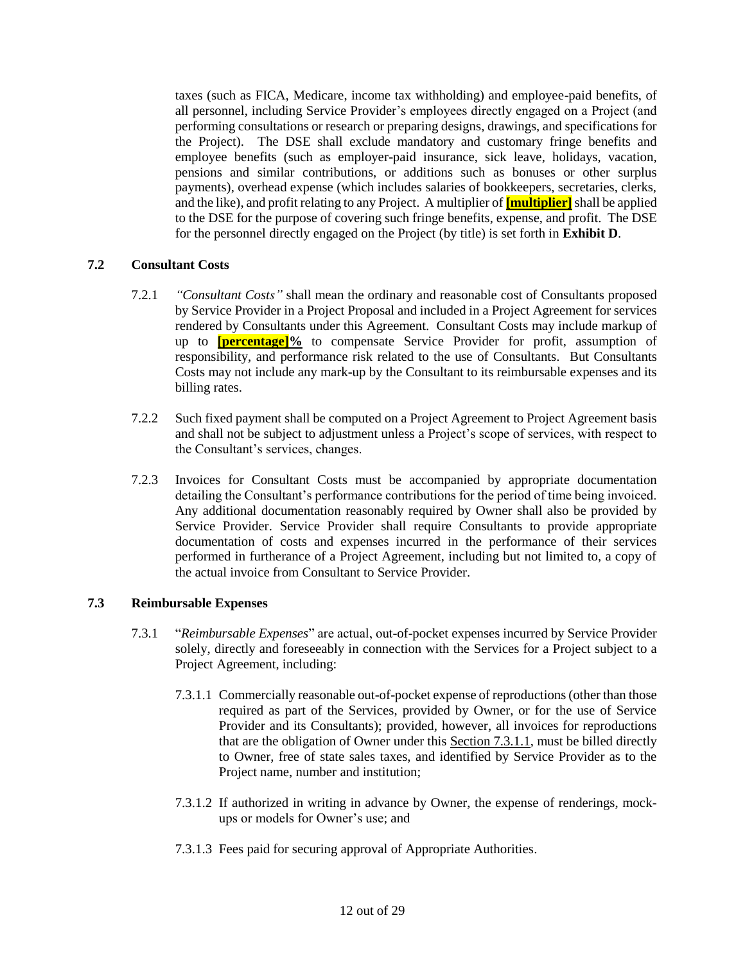taxes (such as FICA, Medicare, income tax withholding) and employee-paid benefits, of all personnel, including Service Provider's employees directly engaged on a Project (and performing consultations or research or preparing designs, drawings, and specifications for the Project). The DSE shall exclude mandatory and customary fringe benefits and employee benefits (such as employer-paid insurance, sick leave, holidays, vacation, pensions and similar contributions, or additions such as bonuses or other surplus payments), overhead expense (which includes salaries of bookkeepers, secretaries, clerks, and the like), and profit relating to any Project. A multiplier of **[multiplier]** shall be applied to the DSE for the purpose of covering such fringe benefits, expense, and profit. The DSE for the personnel directly engaged on the Project (by title) is set forth in **Exhibit D**.

### <span id="page-11-0"></span>**7.2 Consultant Costs**

- 7.2.1 *"Consultant Costs"* shall mean the ordinary and reasonable cost of Consultants proposed by Service Provider in a Project Proposal and included in a Project Agreement for services rendered by Consultants under this Agreement. Consultant Costs may include markup of up to **[percentage]%** to compensate Service Provider for profit, assumption of responsibility, and performance risk related to the use of Consultants. But Consultants Costs may not include any mark-up by the Consultant to its reimbursable expenses and its billing rates.
- 7.2.2 Such fixed payment shall be computed on a Project Agreement to Project Agreement basis and shall not be subject to adjustment unless a Project's scope of services, with respect to the Consultant's services, changes.
- 7.2.3 Invoices for Consultant Costs must be accompanied by appropriate documentation detailing the Consultant's performance contributions for the period of time being invoiced. Any additional documentation reasonably required by Owner shall also be provided by Service Provider. Service Provider shall require Consultants to provide appropriate documentation of costs and expenses incurred in the performance of their services performed in furtherance of a Project Agreement, including but not limited to, a copy of the actual invoice from Consultant to Service Provider.

#### **7.3 Reimbursable Expenses**

- 7.3.1 "*Reimbursable Expenses*" are actual, out-of-pocket expenses incurred by Service Provider solely, directly and foreseeably in connection with the Services for a Project subject to a Project Agreement, including:
	- 7.3.1.1 Commercially reasonable out-of-pocket expense of reproductions (other than those required as part of the Services, provided by Owner, or for the use of Service Provider and its Consultants); provided, however, all invoices for reproductions that are the obligation of Owner under this Section 7.3.1.1, must be billed directly to Owner, free of state sales taxes, and identified by Service Provider as to the Project name, number and institution;
	- 7.3.1.2 If authorized in writing in advance by Owner, the expense of renderings, mockups or models for Owner's use; and
	- 7.3.1.3 Fees paid for securing approval of Appropriate Authorities.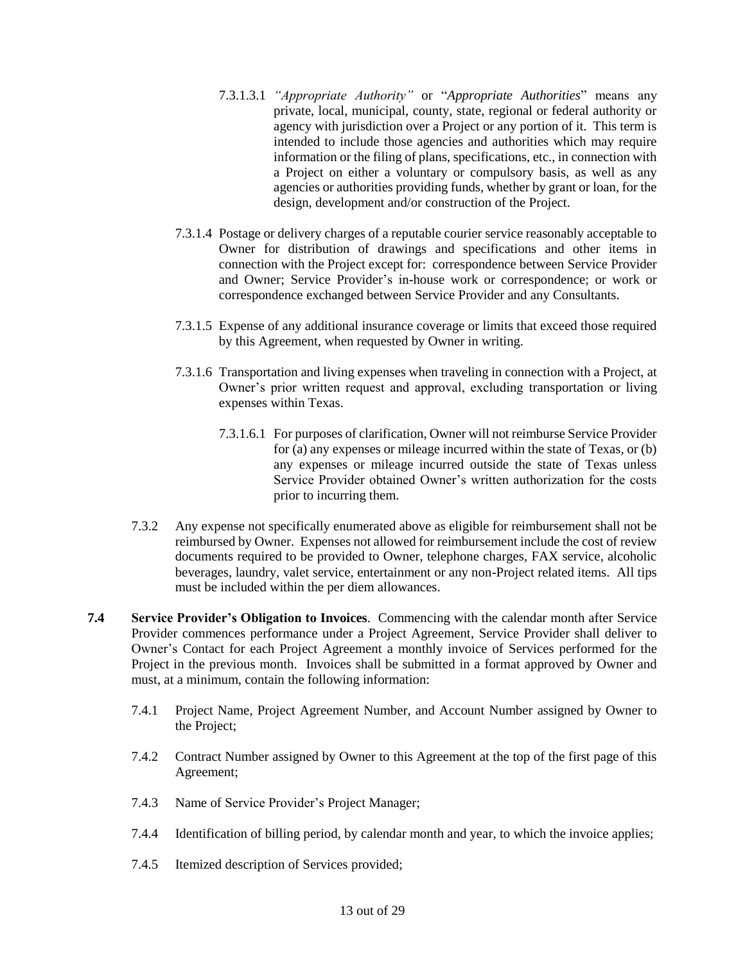- 7.3.1.3.1 *"Appropriate Authority"* or "*Appropriate Authorities*" means any private, local, municipal, county, state, regional or federal authority or agency with jurisdiction over a Project or any portion of it. This term is intended to include those agencies and authorities which may require information or the filing of plans, specifications, etc., in connection with a Project on either a voluntary or compulsory basis, as well as any agencies or authorities providing funds, whether by grant or loan, for the design, development and/or construction of the Project.
- 7.3.1.4 Postage or delivery charges of a reputable courier service reasonably acceptable to Owner for distribution of drawings and specifications and other items in connection with the Project except for: correspondence between Service Provider and Owner; Service Provider's in-house work or correspondence; or work or correspondence exchanged between Service Provider and any Consultants.
- 7.3.1.5 Expense of any additional insurance coverage or limits that exceed those required by this Agreement, when requested by Owner in writing.
- 7.3.1.6 Transportation and living expenses when traveling in connection with a Project, at Owner's prior written request and approval, excluding transportation or living expenses within Texas.
	- 7.3.1.6.1 For purposes of clarification, Owner will not reimburse Service Provider for (a) any expenses or mileage incurred within the state of Texas, or (b) any expenses or mileage incurred outside the state of Texas unless Service Provider obtained Owner's written authorization for the costs prior to incurring them.
- 7.3.2 Any expense not specifically enumerated above as eligible for reimbursement shall not be reimbursed by Owner. Expenses not allowed for reimbursement include the cost of review documents required to be provided to Owner, telephone charges, FAX service, alcoholic beverages, laundry, valet service, entertainment or any non-Project related items. All tips must be included within the per diem allowances.
- <span id="page-12-0"></span>**7.4 Service Provider's Obligation to Invoices**. Commencing with the calendar month after Service Provider commences performance under a Project Agreement, Service Provider shall deliver to Owner's Contact for each Project Agreement a monthly invoice of Services performed for the Project in the previous month. Invoices shall be submitted in a format approved by Owner and must, at a minimum, contain the following information:
	- 7.4.1 Project Name, Project Agreement Number, and Account Number assigned by Owner to the Project;
	- 7.4.2 Contract Number assigned by Owner to this Agreement at the top of the first page of this Agreement;
	- 7.4.3 Name of Service Provider's Project Manager;
	- 7.4.4 Identification of billing period, by calendar month and year, to which the invoice applies;
	- 7.4.5 Itemized description of Services provided;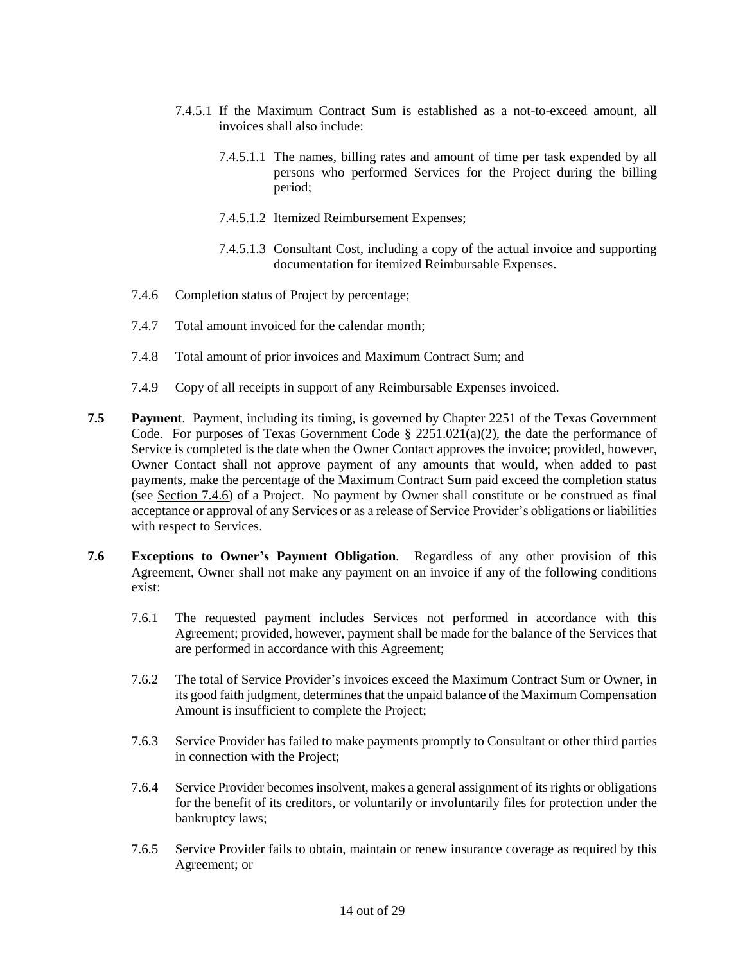- 7.4.5.1 If the Maximum Contract Sum is established as a not-to-exceed amount, all invoices shall also include:
	- 7.4.5.1.1 The names, billing rates and amount of time per task expended by all persons who performed Services for the Project during the billing period;
	- 7.4.5.1.2 Itemized Reimbursement Expenses;
	- 7.4.5.1.3 Consultant Cost, including a copy of the actual invoice and supporting documentation for itemized Reimbursable Expenses.
- <span id="page-13-2"></span>7.4.6 Completion status of Project by percentage;
- 7.4.7 Total amount invoiced for the calendar month;
- 7.4.8 Total amount of prior invoices and Maximum Contract Sum; and
- 7.4.9 Copy of all receipts in support of any Reimbursable Expenses invoiced.
- <span id="page-13-0"></span>**7.5 Payment**. Payment, including its timing, is governed by Chapter 2251 of the Texas Government Code. For purposes of Texas Government Code  $\S$  2251.021(a)(2), the date the performance of Service is completed is the date when the Owner Contact approves the invoice; provided, however, Owner Contact shall not approve payment of any amounts that would, when added to past payments, make the percentage of the Maximum Contract Sum paid exceed the completion status (see Section [7.4.6\)](#page-13-2) of a Project. No payment by Owner shall constitute or be construed as final acceptance or approval of any Services or as a release of Service Provider's obligations or liabilities with respect to Services.
- <span id="page-13-1"></span>**7.6 Exceptions to Owner's Payment Obligation**. Regardless of any other provision of this Agreement, Owner shall not make any payment on an invoice if any of the following conditions exist:
	- 7.6.1 The requested payment includes Services not performed in accordance with this Agreement; provided, however, payment shall be made for the balance of the Services that are performed in accordance with this Agreement;
	- 7.6.2 The total of Service Provider's invoices exceed the Maximum Contract Sum or Owner, in its good faith judgment, determines that the unpaid balance of the Maximum Compensation Amount is insufficient to complete the Project;
	- 7.6.3 Service Provider has failed to make payments promptly to Consultant or other third parties in connection with the Project;
	- 7.6.4 Service Provider becomes insolvent, makes a general assignment of its rights or obligations for the benefit of its creditors, or voluntarily or involuntarily files for protection under the bankruptcy laws;
	- 7.6.5 Service Provider fails to obtain, maintain or renew insurance coverage as required by this Agreement; or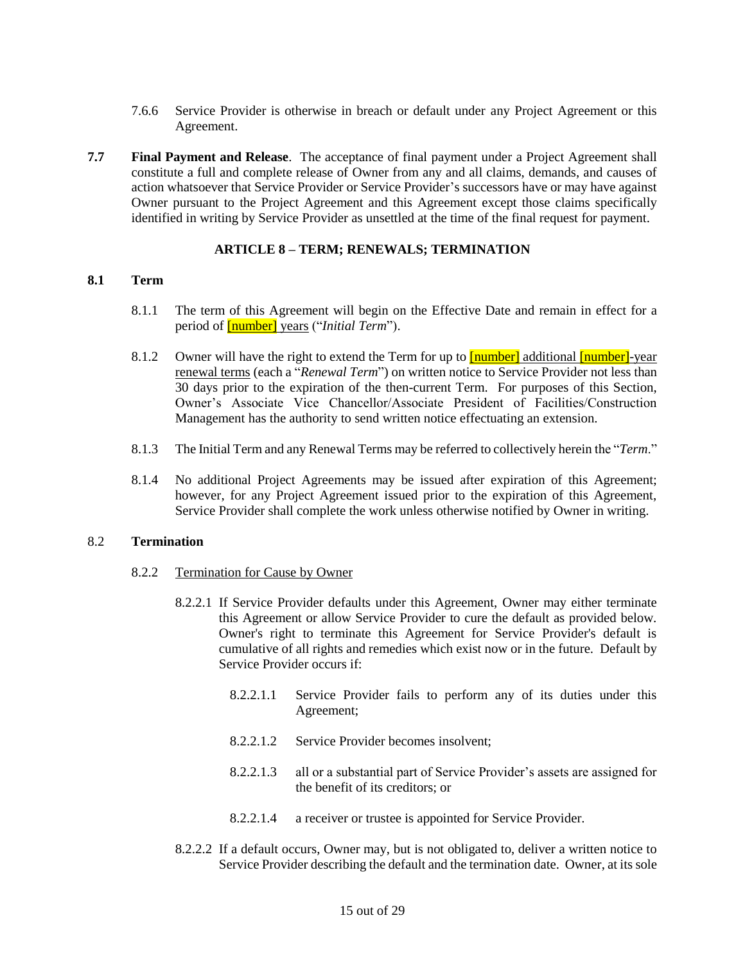- 7.6.6 Service Provider is otherwise in breach or default under any Project Agreement or this Agreement.
- <span id="page-14-0"></span>**7.7 Final Payment and Release**. The acceptance of final payment under a Project Agreement shall constitute a full and complete release of Owner from any and all claims, demands, and causes of action whatsoever that Service Provider or Service Provider's successors have or may have against Owner pursuant to the Project Agreement and this Agreement except those claims specifically identified in writing by Service Provider as unsettled at the time of the final request for payment.

#### **ARTICLE 8 – TERM; RENEWALS; TERMINATION**

#### <span id="page-14-2"></span><span id="page-14-1"></span>**8.1 Term**

- 8.1.1 The term of this Agreement will begin on the Effective Date and remain in effect for a period of [number] years ("*Initial Term*").
- 8.1.2 Owner will have the right to extend the Term for up to **[number]** additional **[number]**-year renewal terms (each a "*Renewal Term*") on written notice to Service Provider not less than 30 days prior to the expiration of the then-current Term. For purposes of this Section, Owner's Associate Vice Chancellor/Associate President of Facilities/Construction Management has the authority to send written notice effectuating an extension.
- 8.1.3 The Initial Term and any Renewal Terms may be referred to collectively herein the "*Term*."
- 8.1.4 No additional Project Agreements may be issued after expiration of this Agreement; however, for any Project Agreement issued prior to the expiration of this Agreement, Service Provider shall complete the work unless otherwise notified by Owner in writing.

#### <span id="page-14-3"></span>8.2 **Termination**

#### 8.2.2 Termination for Cause by Owner

- 8.2.2.1 If Service Provider defaults under this Agreement, Owner may either terminate this Agreement or allow Service Provider to cure the default as provided below. Owner's right to terminate this Agreement for Service Provider's default is cumulative of all rights and remedies which exist now or in the future. Default by Service Provider occurs if:
	- 8.2.2.1.1 Service Provider fails to perform any of its duties under this Agreement;
	- 8.2.2.1.2 Service Provider becomes insolvent;
	- 8.2.2.1.3 all or a substantial part of Service Provider's assets are assigned for the benefit of its creditors; or
	- 8.2.2.1.4 a receiver or trustee is appointed for Service Provider.
- 8.2.2.2 If a default occurs, Owner may, but is not obligated to, deliver a written notice to Service Provider describing the default and the termination date. Owner, at its sole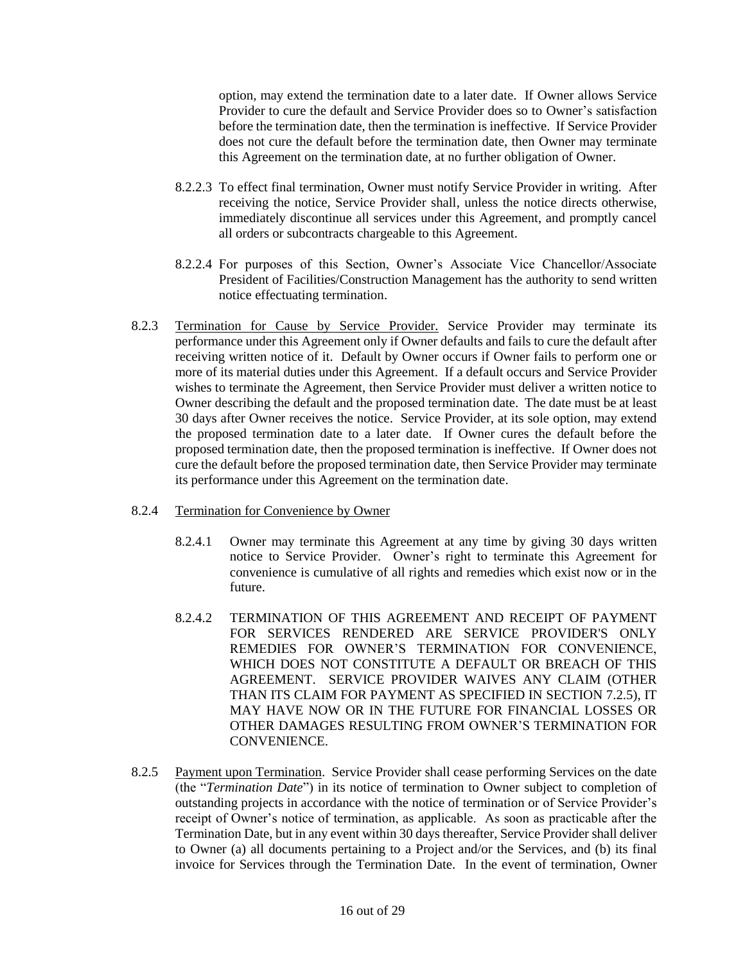option, may extend the termination date to a later date. If Owner allows Service Provider to cure the default and Service Provider does so to Owner's satisfaction before the termination date, then the termination is ineffective. If Service Provider does not cure the default before the termination date, then Owner may terminate this Agreement on the termination date, at no further obligation of Owner.

- 8.2.2.3 To effect final termination, Owner must notify Service Provider in writing. After receiving the notice, Service Provider shall, unless the notice directs otherwise, immediately discontinue all services under this Agreement, and promptly cancel all orders or subcontracts chargeable to this Agreement.
- 8.2.2.4 For purposes of this Section, Owner's Associate Vice Chancellor/Associate President of Facilities/Construction Management has the authority to send written notice effectuating termination.
- 8.2.3 Termination for Cause by Service Provider. Service Provider may terminate its performance under this Agreement only if Owner defaults and fails to cure the default after receiving written notice of it. Default by Owner occurs if Owner fails to perform one or more of its material duties under this Agreement. If a default occurs and Service Provider wishes to terminate the Agreement, then Service Provider must deliver a written notice to Owner describing the default and the proposed termination date. The date must be at least 30 days after Owner receives the notice. Service Provider, at its sole option, may extend the proposed termination date to a later date. If Owner cures the default before the proposed termination date, then the proposed termination is ineffective. If Owner does not cure the default before the proposed termination date, then Service Provider may terminate its performance under this Agreement on the termination date.
- 8.2.4 Termination for Convenience by Owner
	- 8.2.4.1 Owner may terminate this Agreement at any time by giving 30 days written notice to Service Provider. Owner's right to terminate this Agreement for convenience is cumulative of all rights and remedies which exist now or in the future.
	- 8.2.4.2 TERMINATION OF THIS AGREEMENT AND RECEIPT OF PAYMENT FOR SERVICES RENDERED ARE SERVICE PROVIDER'S ONLY REMEDIES FOR OWNER'S TERMINATION FOR CONVENIENCE, WHICH DOES NOT CONSTITUTE A DEFAULT OR BREACH OF THIS AGREEMENT. SERVICE PROVIDER WAIVES ANY CLAIM (OTHER THAN ITS CLAIM FOR PAYMENT AS SPECIFIED IN SECTION 7.2.5), IT MAY HAVE NOW OR IN THE FUTURE FOR FINANCIAL LOSSES OR OTHER DAMAGES RESULTING FROM OWNER'S TERMINATION FOR CONVENIENCE.
- 8.2.5 Payment upon Termination. Service Provider shall cease performing Services on the date (the "*Termination Date*") in its notice of termination to Owner subject to completion of outstanding projects in accordance with the notice of termination or of Service Provider's receipt of Owner's notice of termination, as applicable. As soon as practicable after the Termination Date, but in any event within 30 days thereafter, Service Provider shall deliver to Owner (a) all documents pertaining to a Project and/or the Services, and (b) its final invoice for Services through the Termination Date. In the event of termination, Owner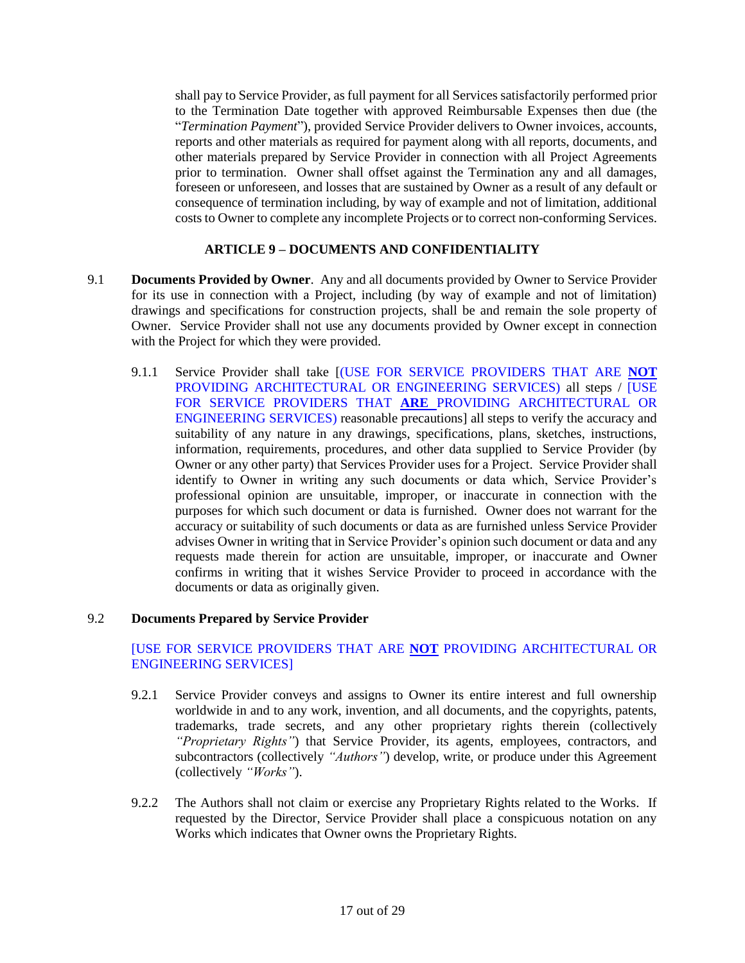shall pay to Service Provider, as full payment for all Services satisfactorily performed prior to the Termination Date together with approved Reimbursable Expenses then due (the "*Termination Payment*"), provided Service Provider delivers to Owner invoices, accounts, reports and other materials as required for payment along with all reports, documents, and other materials prepared by Service Provider in connection with all Project Agreements prior to termination. Owner shall offset against the Termination any and all damages, foreseen or unforeseen, and losses that are sustained by Owner as a result of any default or consequence of termination including, by way of example and not of limitation, additional costs to Owner to complete any incomplete Projects or to correct non-conforming Services.

# **ARTICLE 9 – DOCUMENTS AND CONFIDENTIALITY**

- <span id="page-16-1"></span><span id="page-16-0"></span>9.1 **Documents Provided by Owner**. Any and all documents provided by Owner to Service Provider for its use in connection with a Project, including (by way of example and not of limitation) drawings and specifications for construction projects, shall be and remain the sole property of Owner. Service Provider shall not use any documents provided by Owner except in connection with the Project for which they were provided.
	- 9.1.1 Service Provider shall take [(USE FOR SERVICE PROVIDERS THAT ARE **NOT** PROVIDING ARCHITECTURAL OR ENGINEERING SERVICES) all steps / [USE FOR SERVICE PROVIDERS THAT **ARE** PROVIDING ARCHITECTURAL OR ENGINEERING SERVICES) reasonable precautions] all steps to verify the accuracy and suitability of any nature in any drawings, specifications, plans, sketches, instructions, information, requirements, procedures, and other data supplied to Service Provider (by Owner or any other party) that Services Provider uses for a Project. Service Provider shall identify to Owner in writing any such documents or data which, Service Provider's professional opinion are unsuitable, improper, or inaccurate in connection with the purposes for which such document or data is furnished. Owner does not warrant for the accuracy or suitability of such documents or data as are furnished unless Service Provider advises Owner in writing that in Service Provider's opinion such document or data and any requests made therein for action are unsuitable, improper, or inaccurate and Owner confirms in writing that it wishes Service Provider to proceed in accordance with the documents or data as originally given.

#### <span id="page-16-2"></span>9.2 **Documents Prepared by Service Provider**

### [USE FOR SERVICE PROVIDERS THAT ARE **NOT** PROVIDING ARCHITECTURAL OR ENGINEERING SERVICES]

- 9.2.1 Service Provider conveys and assigns to Owner its entire interest and full ownership worldwide in and to any work, invention, and all documents, and the copyrights, patents, trademarks, trade secrets, and any other proprietary rights therein (collectively *"Proprietary Rights"*) that Service Provider, its agents, employees, contractors, and subcontractors (collectively *"Authors"*) develop, write, or produce under this Agreement (collectively *"Works"*).
- 9.2.2 The Authors shall not claim or exercise any Proprietary Rights related to the Works. If requested by the Director, Service Provider shall place a conspicuous notation on any Works which indicates that Owner owns the Proprietary Rights.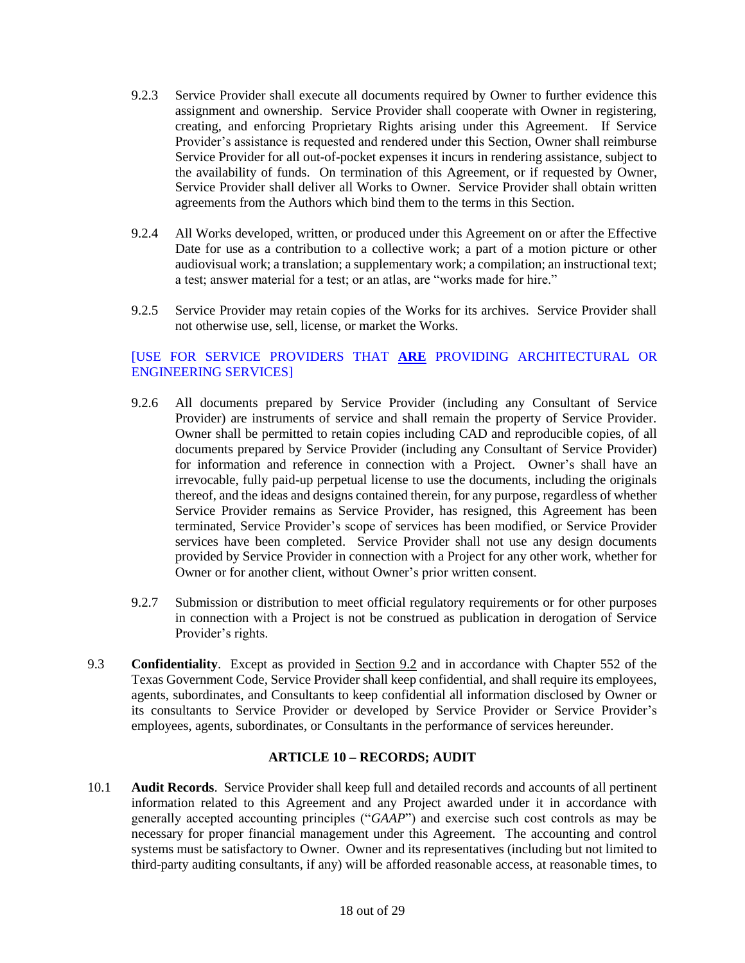- 9.2.3 Service Provider shall execute all documents required by Owner to further evidence this assignment and ownership. Service Provider shall cooperate with Owner in registering, creating, and enforcing Proprietary Rights arising under this Agreement. If Service Provider's assistance is requested and rendered under this Section, Owner shall reimburse Service Provider for all out-of-pocket expenses it incurs in rendering assistance, subject to the availability of funds. On termination of this Agreement, or if requested by Owner, Service Provider shall deliver all Works to Owner. Service Provider shall obtain written agreements from the Authors which bind them to the terms in this Section.
- 9.2.4 All Works developed, written, or produced under this Agreement on or after the Effective Date for use as a contribution to a collective work; a part of a motion picture or other audiovisual work; a translation; a supplementary work; a compilation; an instructional text; a test; answer material for a test; or an atlas, are "works made for hire."
- 9.2.5 Service Provider may retain copies of the Works for its archives. Service Provider shall not otherwise use, sell, license, or market the Works.

# [USE FOR SERVICE PROVIDERS THAT **ARE** PROVIDING ARCHITECTURAL OR ENGINEERING SERVICES]

- 9.2.6 All documents prepared by Service Provider (including any Consultant of Service Provider) are instruments of service and shall remain the property of Service Provider. Owner shall be permitted to retain copies including CAD and reproducible copies, of all documents prepared by Service Provider (including any Consultant of Service Provider) for information and reference in connection with a Project. Owner's shall have an irrevocable, fully paid-up perpetual license to use the documents, including the originals thereof, and the ideas and designs contained therein, for any purpose, regardless of whether Service Provider remains as Service Provider, has resigned, this Agreement has been terminated, Service Provider's scope of services has been modified, or Service Provider services have been completed. Service Provider shall not use any design documents provided by Service Provider in connection with a Project for any other work, whether for Owner or for another client, without Owner's prior written consent.
- 9.2.7 Submission or distribution to meet official regulatory requirements or for other purposes in connection with a Project is not be construed as publication in derogation of Service Provider's rights.
- 9.3 **Confidentiality**. Except as provided in Section 9.2 and in accordance with Chapter 552 of the Texas Government Code, Service Provider shall keep confidential, and shall require its employees, agents, subordinates, and Consultants to keep confidential all information disclosed by Owner or its consultants to Service Provider or developed by Service Provider or Service Provider's employees, agents, subordinates, or Consultants in the performance of services hereunder.

#### **ARTICLE 10 – RECORDS; AUDIT**

<span id="page-17-1"></span><span id="page-17-0"></span>10.1 **Audit Records**. Service Provider shall keep full and detailed records and accounts of all pertinent information related to this Agreement and any Project awarded under it in accordance with generally accepted accounting principles ("*GAAP*") and exercise such cost controls as may be necessary for proper financial management under this Agreement. The accounting and control systems must be satisfactory to Owner. Owner and its representatives (including but not limited to third-party auditing consultants, if any) will be afforded reasonable access, at reasonable times, to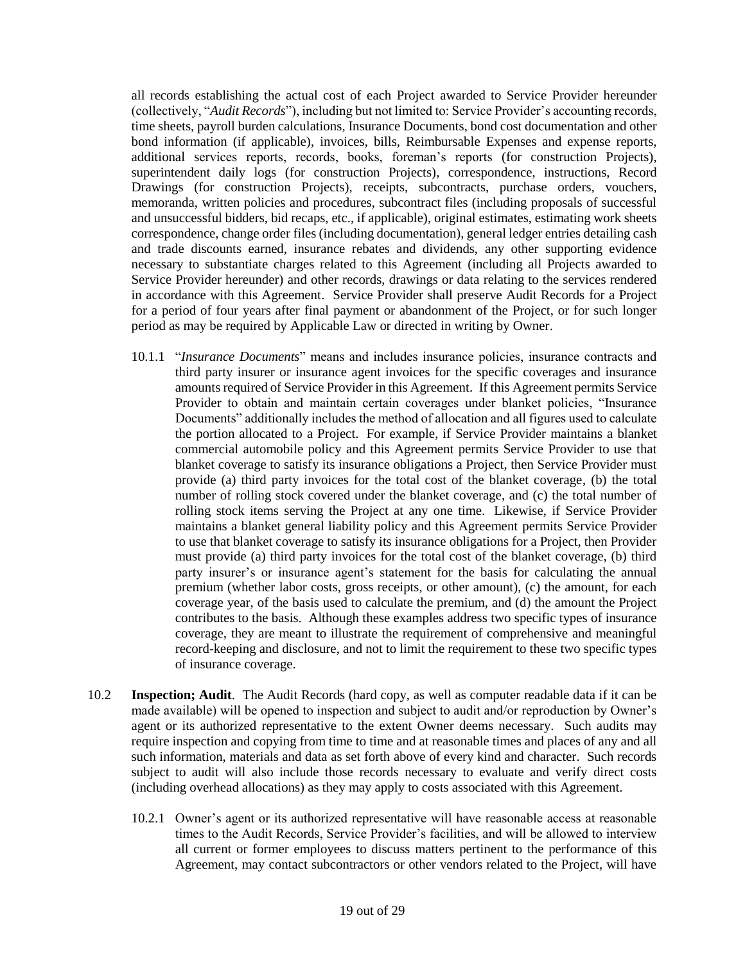all records establishing the actual cost of each Project awarded to Service Provider hereunder (collectively, "*Audit Records*"), including but not limited to: Service Provider's accounting records, time sheets, payroll burden calculations, Insurance Documents, bond cost documentation and other bond information (if applicable), invoices, bills, Reimbursable Expenses and expense reports, additional services reports, records, books, foreman's reports (for construction Projects), superintendent daily logs (for construction Projects), correspondence, instructions, Record Drawings (for construction Projects), receipts, subcontracts, purchase orders, vouchers, memoranda, written policies and procedures, subcontract files (including proposals of successful and unsuccessful bidders, bid recaps, etc., if applicable), original estimates, estimating work sheets correspondence, change order files (including documentation), general ledger entries detailing cash and trade discounts earned, insurance rebates and dividends, any other supporting evidence necessary to substantiate charges related to this Agreement (including all Projects awarded to Service Provider hereunder) and other records, drawings or data relating to the services rendered in accordance with this Agreement. Service Provider shall preserve Audit Records for a Project for a period of four years after final payment or abandonment of the Project, or for such longer period as may be required by Applicable Law or directed in writing by Owner.

- 10.1.1 "*Insurance Documents*" means and includes insurance policies, insurance contracts and third party insurer or insurance agent invoices for the specific coverages and insurance amounts required of Service Provider in this Agreement. If this Agreement permits Service Provider to obtain and maintain certain coverages under blanket policies, "Insurance Documents" additionally includes the method of allocation and all figures used to calculate the portion allocated to a Project. For example, if Service Provider maintains a blanket commercial automobile policy and this Agreement permits Service Provider to use that blanket coverage to satisfy its insurance obligations a Project, then Service Provider must provide (a) third party invoices for the total cost of the blanket coverage, (b) the total number of rolling stock covered under the blanket coverage, and (c) the total number of rolling stock items serving the Project at any one time. Likewise, if Service Provider maintains a blanket general liability policy and this Agreement permits Service Provider to use that blanket coverage to satisfy its insurance obligations for a Project, then Provider must provide (a) third party invoices for the total cost of the blanket coverage, (b) third party insurer's or insurance agent's statement for the basis for calculating the annual premium (whether labor costs, gross receipts, or other amount), (c) the amount, for each coverage year, of the basis used to calculate the premium, and (d) the amount the Project contributes to the basis. Although these examples address two specific types of insurance coverage, they are meant to illustrate the requirement of comprehensive and meaningful record-keeping and disclosure, and not to limit the requirement to these two specific types of insurance coverage.
- <span id="page-18-0"></span>10.2 **Inspection; Audit**. The Audit Records (hard copy, as well as computer readable data if it can be made available) will be opened to inspection and subject to audit and/or reproduction by Owner's agent or its authorized representative to the extent Owner deems necessary. Such audits may require inspection and copying from time to time and at reasonable times and places of any and all such information, materials and data as set forth above of every kind and character. Such records subject to audit will also include those records necessary to evaluate and verify direct costs (including overhead allocations) as they may apply to costs associated with this Agreement.
	- 10.2.1 Owner's agent or its authorized representative will have reasonable access at reasonable times to the Audit Records, Service Provider's facilities, and will be allowed to interview all current or former employees to discuss matters pertinent to the performance of this Agreement, may contact subcontractors or other vendors related to the Project, will have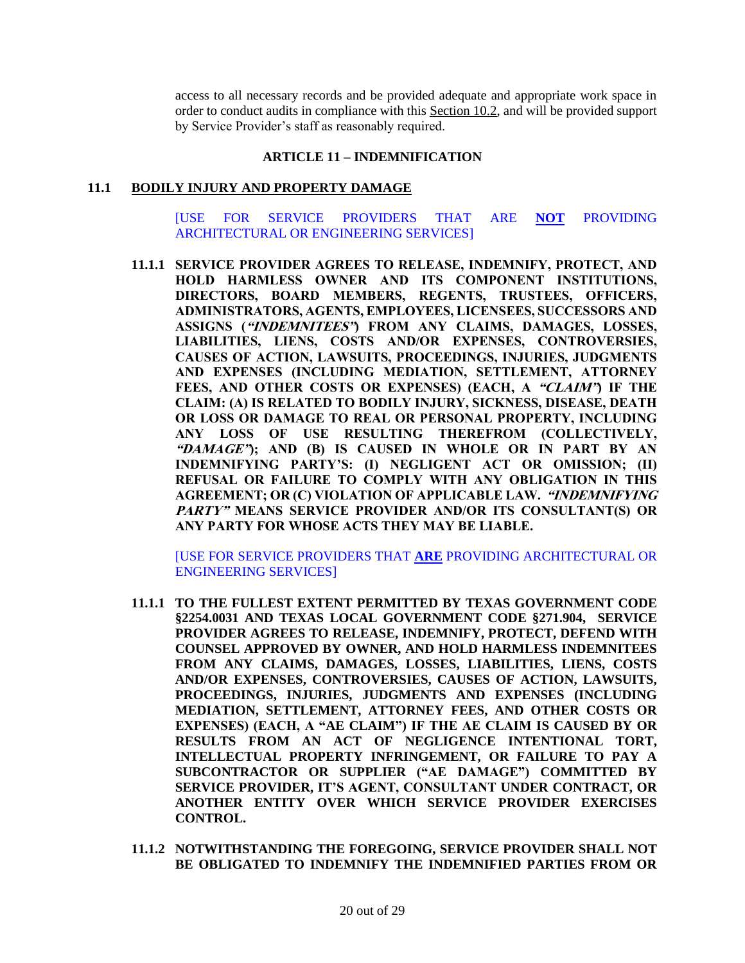access to all necessary records and be provided adequate and appropriate work space in order to conduct audits in compliance with this Section 10.2, and will be provided support by Service Provider's staff as reasonably required.

#### **ARTICLE 11 – INDEMNIFICATION**

#### <span id="page-19-1"></span><span id="page-19-0"></span>**11.1 BODILY INJURY AND PROPERTY DAMAGE**

[USE FOR SERVICE PROVIDERS THAT ARE **NOT** PROVIDING ARCHITECTURAL OR ENGINEERING SERVICES]

**11.1.1 SERVICE PROVIDER AGREES TO RELEASE, INDEMNIFY, PROTECT, AND HOLD HARMLESS OWNER AND ITS COMPONENT INSTITUTIONS, DIRECTORS, BOARD MEMBERS, REGENTS, TRUSTEES, OFFICERS, ADMINISTRATORS, AGENTS, EMPLOYEES, LICENSEES, SUCCESSORS AND ASSIGNS ("INDEMNITEES") FROM ANY CLAIMS, DAMAGES, LOSSES, LIABILITIES, LIENS, COSTS AND/OR EXPENSES, CONTROVERSIES, CAUSES OF ACTION, LAWSUITS, PROCEEDINGS, INJURIES, JUDGMENTS AND EXPENSES (INCLUDING MEDIATION, SETTLEMENT, ATTORNEY FEES, AND OTHER COSTS OR EXPENSES) (EACH, A "CLAIM") IF THE CLAIM: (A) IS RELATED TO BODILY INJURY, SICKNESS, DISEASE, DEATH OR LOSS OR DAMAGE TO REAL OR PERSONAL PROPERTY, INCLUDING ANY LOSS OF USE RESULTING THEREFROM (COLLECTIVELY, "DAMAGE"); AND (B) IS CAUSED IN WHOLE OR IN PART BY AN INDEMNIFYING PARTY'S: (I) NEGLIGENT ACT OR OMISSION; (II) REFUSAL OR FAILURE TO COMPLY WITH ANY OBLIGATION IN THIS AGREEMENT; OR (C) VIOLATION OF APPLICABLE LAW. "INDEMNIFYING PARTY" MEANS SERVICE PROVIDER AND/OR ITS CONSULTANT(S) OR ANY PARTY FOR WHOSE ACTS THEY MAY BE LIABLE.**

[USE FOR SERVICE PROVIDERS THAT **ARE** PROVIDING ARCHITECTURAL OR ENGINEERING SERVICES]

- **11.1.1 TO THE FULLEST EXTENT PERMITTED BY TEXAS GOVERNMENT CODE §2254.0031 AND TEXAS LOCAL GOVERNMENT CODE §271.904, SERVICE PROVIDER AGREES TO RELEASE, INDEMNIFY, PROTECT, DEFEND WITH COUNSEL APPROVED BY OWNER, AND HOLD HARMLESS INDEMNITEES FROM ANY CLAIMS, DAMAGES, LOSSES, LIABILITIES, LIENS, COSTS AND/OR EXPENSES, CONTROVERSIES, CAUSES OF ACTION, LAWSUITS, PROCEEDINGS, INJURIES, JUDGMENTS AND EXPENSES (INCLUDING MEDIATION, SETTLEMENT, ATTORNEY FEES, AND OTHER COSTS OR EXPENSES) (EACH, A "AE CLAIM") IF THE AE CLAIM IS CAUSED BY OR RESULTS FROM AN ACT OF NEGLIGENCE INTENTIONAL TORT, INTELLECTUAL PROPERTY INFRINGEMENT, OR FAILURE TO PAY A SUBCONTRACTOR OR SUPPLIER ("AE DAMAGE") COMMITTED BY SERVICE PROVIDER, IT'S AGENT, CONSULTANT UNDER CONTRACT, OR ANOTHER ENTITY OVER WHICH SERVICE PROVIDER EXERCISES CONTROL.**
- **11.1.2 NOTWITHSTANDING THE FOREGOING, SERVICE PROVIDER SHALL NOT BE OBLIGATED TO INDEMNIFY THE INDEMNIFIED PARTIES FROM OR**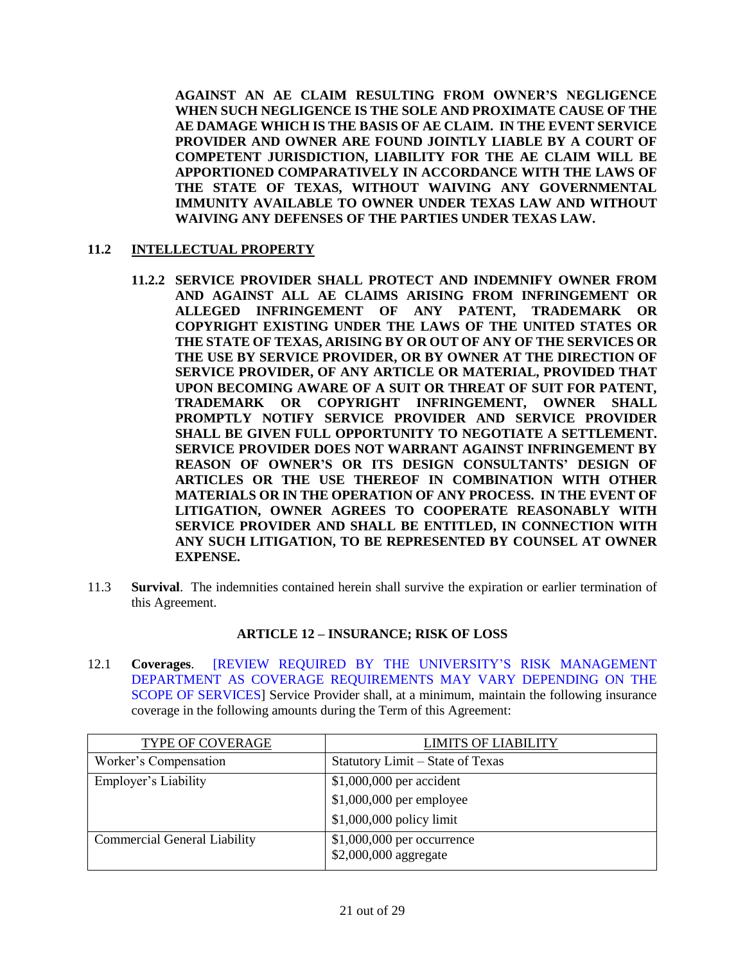**AGAINST AN AE CLAIM RESULTING FROM OWNER'S NEGLIGENCE WHEN SUCH NEGLIGENCE IS THE SOLE AND PROXIMATE CAUSE OF THE AE DAMAGE WHICH IS THE BASIS OF AE CLAIM. IN THE EVENT SERVICE PROVIDER AND OWNER ARE FOUND JOINTLY LIABLE BY A COURT OF COMPETENT JURISDICTION, LIABILITY FOR THE AE CLAIM WILL BE APPORTIONED COMPARATIVELY IN ACCORDANCE WITH THE LAWS OF THE STATE OF TEXAS, WITHOUT WAIVING ANY GOVERNMENTAL IMMUNITY AVAILABLE TO OWNER UNDER TEXAS LAW AND WITHOUT WAIVING ANY DEFENSES OF THE PARTIES UNDER TEXAS LAW.**

### <span id="page-20-0"></span>**11.2 INTELLECTUAL PROPERTY**

- **11.2.2 SERVICE PROVIDER SHALL PROTECT AND INDEMNIFY OWNER FROM AND AGAINST ALL AE CLAIMS ARISING FROM INFRINGEMENT OR ALLEGED INFRINGEMENT OF ANY PATENT, TRADEMARK OR COPYRIGHT EXISTING UNDER THE LAWS OF THE UNITED STATES OR THE STATE OF TEXAS, ARISING BY OR OUT OF ANY OF THE SERVICES OR THE USE BY SERVICE PROVIDER, OR BY OWNER AT THE DIRECTION OF SERVICE PROVIDER, OF ANY ARTICLE OR MATERIAL, PROVIDED THAT UPON BECOMING AWARE OF A SUIT OR THREAT OF SUIT FOR PATENT, TRADEMARK OR COPYRIGHT INFRINGEMENT, OWNER SHALL PROMPTLY NOTIFY SERVICE PROVIDER AND SERVICE PROVIDER SHALL BE GIVEN FULL OPPORTUNITY TO NEGOTIATE A SETTLEMENT. SERVICE PROVIDER DOES NOT WARRANT AGAINST INFRINGEMENT BY REASON OF OWNER'S OR ITS DESIGN CONSULTANTS' DESIGN OF ARTICLES OR THE USE THEREOF IN COMBINATION WITH OTHER MATERIALS OR IN THE OPERATION OF ANY PROCESS. IN THE EVENT OF LITIGATION, OWNER AGREES TO COOPERATE REASONABLY WITH SERVICE PROVIDER AND SHALL BE ENTITLED, IN CONNECTION WITH ANY SUCH LITIGATION, TO BE REPRESENTED BY COUNSEL AT OWNER EXPENSE.**
- <span id="page-20-1"></span>11.3 **Survival**. The indemnities contained herein shall survive the expiration or earlier termination of this Agreement.

#### **ARTICLE 12 – INSURANCE; RISK OF LOSS**

<span id="page-20-3"></span><span id="page-20-2"></span>12.1 **Coverages**. [REVIEW REQUIRED BY THE UNIVERSITY'S RISK MANAGEMENT DEPARTMENT AS COVERAGE REQUIREMENTS MAY VARY DEPENDING ON THE SCOPE OF SERVICES] Service Provider shall, at a minimum, maintain the following insurance coverage in the following amounts during the Term of this Agreement:

| TYPE OF COVERAGE                    | <b>LIMITS OF LIABILITY</b>       |
|-------------------------------------|----------------------------------|
| Worker's Compensation               | Statutory Limit - State of Texas |
| Employer's Liability                | \$1,000,000 per accident         |
|                                     | \$1,000,000 per employee         |
|                                     | \$1,000,000 policy limit         |
| <b>Commercial General Liability</b> | \$1,000,000 per occurrence       |
|                                     | \$2,000,000 aggregate            |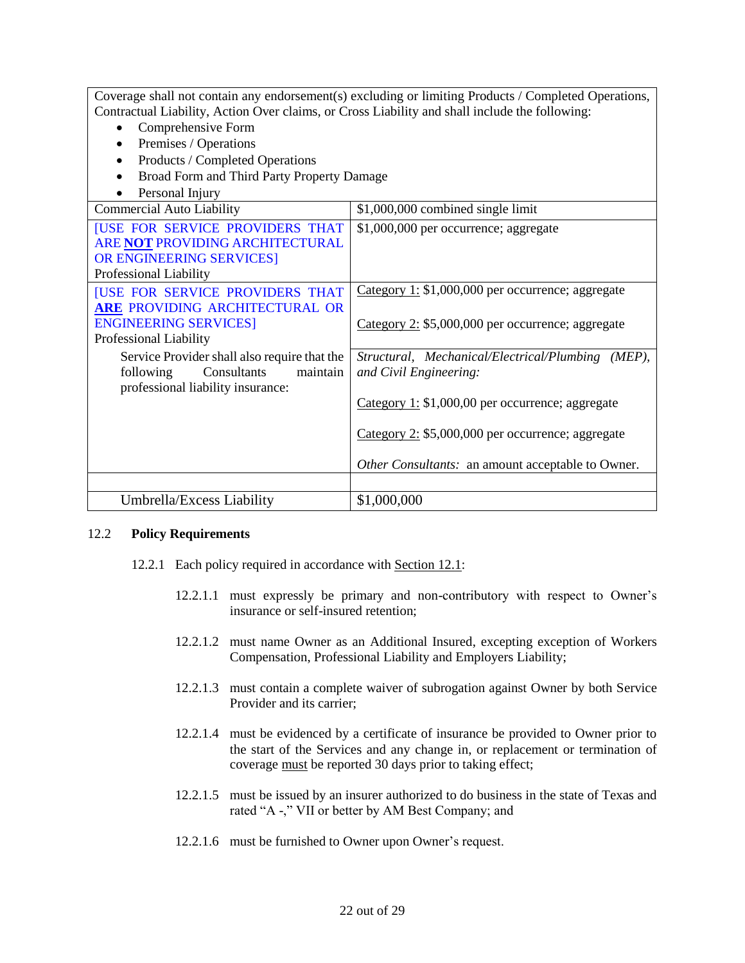| Coverage shall not contain any endorsement(s) excluding or limiting Products / Completed Operations, |                                                    |  |  |
|------------------------------------------------------------------------------------------------------|----------------------------------------------------|--|--|
| Contractual Liability, Action Over claims, or Cross Liability and shall include the following:       |                                                    |  |  |
| Comprehensive Form<br>$\bullet$                                                                      |                                                    |  |  |
| Premises / Operations<br>$\bullet$                                                                   |                                                    |  |  |
| Products / Completed Operations<br>$\bullet$                                                         |                                                    |  |  |
| Broad Form and Third Party Property Damage                                                           |                                                    |  |  |
| Personal Injury                                                                                      |                                                    |  |  |
| <b>Commercial Auto Liability</b>                                                                     | \$1,000,000 combined single limit                  |  |  |
| <b>[USE FOR SERVICE PROVIDERS THAT</b>                                                               | \$1,000,000 per occurrence; aggregate              |  |  |
| ARE NOT PROVIDING ARCHITECTURAL                                                                      |                                                    |  |  |
| OR ENGINEERING SERVICES]                                                                             |                                                    |  |  |
| Professional Liability                                                                               |                                                    |  |  |
| <b>[USE FOR SERVICE PROVIDERS THAT</b>                                                               | Category 1: $$1,000,000$ per occurrence; aggregate |  |  |
| ARE PROVIDING ARCHITECTURAL OR                                                                       |                                                    |  |  |
| <b>ENGINEERING SERVICES</b><br>Category 2: \$5,000,000 per occurrence; aggregate                     |                                                    |  |  |
| Professional Liability                                                                               |                                                    |  |  |
| Service Provider shall also require that the<br>Structural, Mechanical/Electrical/Plumbing (MEP),    |                                                    |  |  |
| Consultants<br>maintain<br>following                                                                 | and Civil Engineering:                             |  |  |
| professional liability insurance:                                                                    |                                                    |  |  |
|                                                                                                      | Category 1: $$1,000,00$ per occurrence; aggregate  |  |  |
|                                                                                                      |                                                    |  |  |
| Category 2: \$5,000,000 per occurrence; aggregate                                                    |                                                    |  |  |
|                                                                                                      |                                                    |  |  |
|                                                                                                      | Other Consultants: an amount acceptable to Owner.  |  |  |
|                                                                                                      |                                                    |  |  |
| Umbrella/Excess Liability                                                                            | \$1,000,000                                        |  |  |

#### <span id="page-21-0"></span>12.2 **Policy Requirements**

- 12.2.1 Each policy required in accordance with Section 12.1:
	- 12.2.1.1 must expressly be primary and non-contributory with respect to Owner's insurance or self-insured retention;
	- 12.2.1.2 must name Owner as an Additional Insured, excepting exception of Workers Compensation, Professional Liability and Employers Liability;
	- 12.2.1.3 must contain a complete waiver of subrogation against Owner by both Service Provider and its carrier;
	- 12.2.1.4 must be evidenced by a certificate of insurance be provided to Owner prior to the start of the Services and any change in, or replacement or termination of coverage must be reported 30 days prior to taking effect;
	- 12.2.1.5 must be issued by an insurer authorized to do business in the state of Texas and rated "A -," VII or better by AM Best Company; and
	- 12.2.1.6 must be furnished to Owner upon Owner's request.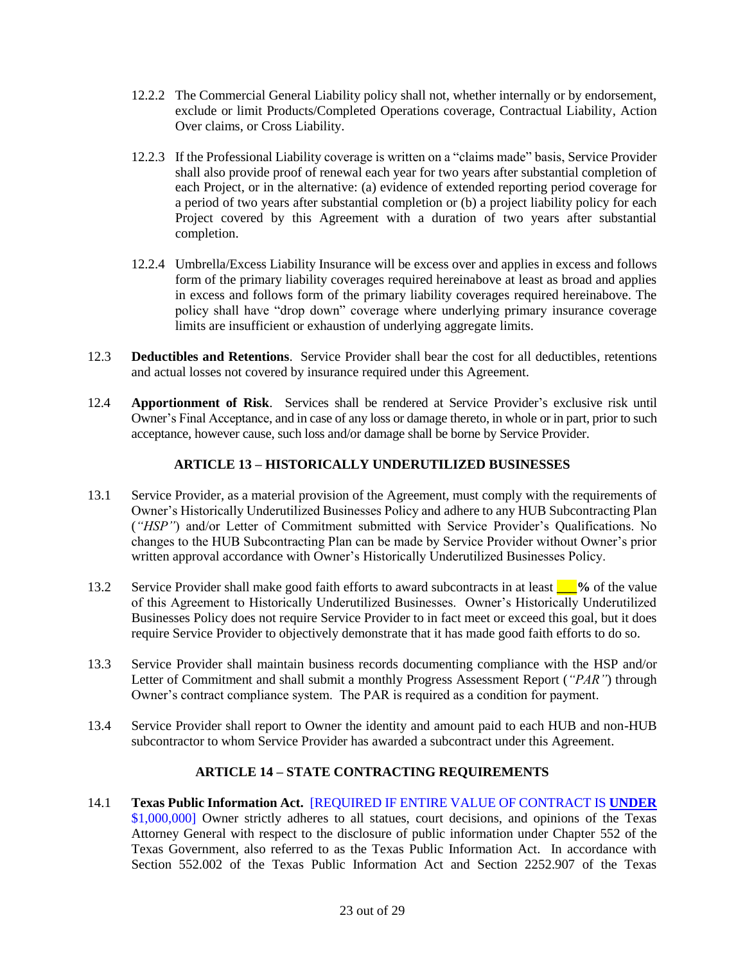- 12.2.2 The Commercial General Liability policy shall not, whether internally or by endorsement, exclude or limit Products/Completed Operations coverage, Contractual Liability, Action Over claims, or Cross Liability.
- 12.2.3 If the Professional Liability coverage is written on a "claims made" basis, Service Provider shall also provide proof of renewal each year for two years after substantial completion of each Project, or in the alternative: (a) evidence of extended reporting period coverage for a period of two years after substantial completion or (b) a project liability policy for each Project covered by this Agreement with a duration of two years after substantial completion.
- 12.2.4 Umbrella/Excess Liability Insurance will be excess over and applies in excess and follows form of the primary liability coverages required hereinabove at least as broad and applies in excess and follows form of the primary liability coverages required hereinabove. The policy shall have "drop down" coverage where underlying primary insurance coverage limits are insufficient or exhaustion of underlying aggregate limits.
- <span id="page-22-0"></span>12.3 **Deductibles and Retentions**. Service Provider shall bear the cost for all deductibles, retentions and actual losses not covered by insurance required under this Agreement.
- <span id="page-22-2"></span><span id="page-22-1"></span>12.4 **Apportionment of Risk**. Services shall be rendered at Service Provider's exclusive risk until Owner's Final Acceptance, and in case of any loss or damage thereto, in whole or in part, prior to such acceptance, however cause, such loss and/or damage shall be borne by Service Provider.

### **ARTICLE 13 – HISTORICALLY UNDERUTILIZED BUSINESSES**

- 13.1 Service Provider, as a material provision of the Agreement, must comply with the requirements of Owner's Historically Underutilized Businesses Policy and adhere to any HUB Subcontracting Plan (*"HSP"*) and/or Letter of Commitment submitted with Service Provider's Qualifications. No changes to the HUB Subcontracting Plan can be made by Service Provider without Owner's prior written approval accordance with Owner's Historically Underutilized Businesses Policy.
- 13.2 Service Provider shall make good faith efforts to award subcontracts in at least **\_\_\_%** of the value of this Agreement to Historically Underutilized Businesses. Owner's Historically Underutilized Businesses Policy does not require Service Provider to in fact meet or exceed this goal, but it does require Service Provider to objectively demonstrate that it has made good faith efforts to do so.
- 13.3 Service Provider shall maintain business records documenting compliance with the HSP and/or Letter of Commitment and shall submit a monthly Progress Assessment Report (*"PAR"*) through Owner's contract compliance system. The PAR is required as a condition for payment.
- 13.4 Service Provider shall report to Owner the identity and amount paid to each HUB and non-HUB subcontractor to whom Service Provider has awarded a subcontract under this Agreement.

# **ARTICLE 14 – STATE CONTRACTING REQUIREMENTS**

14.1 **Texas Public Information Act.** [REQUIRED IF ENTIRE VALUE OF CONTRACT IS **UNDER** \$1,000,000] Owner strictly adheres to all statues, court decisions, and opinions of the Texas Attorney General with respect to the disclosure of public information under Chapter 552 of the Texas Government, also referred to as the Texas Public Information Act. In accordance with Section 552.002 of the Texas Public Information Act and Section 2252.907 of the Texas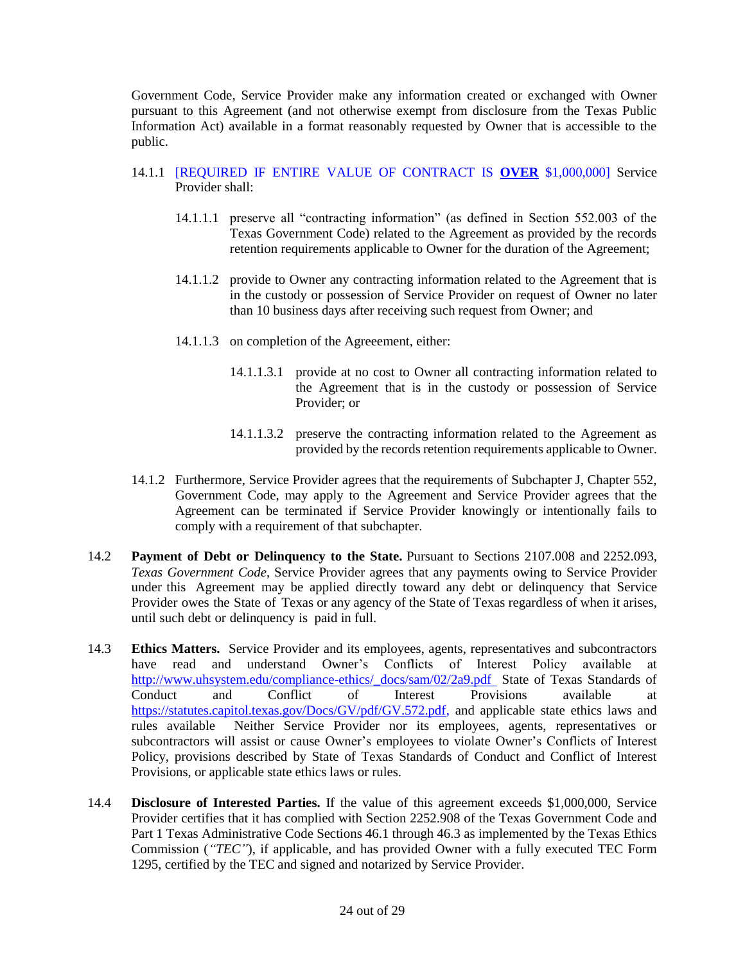Government Code, Service Provider make any information created or exchanged with Owner pursuant to this Agreement (and not otherwise exempt from disclosure from the Texas Public Information Act) available in a format reasonably requested by Owner that is accessible to the public.

- 14.1.1 [REQUIRED IF ENTIRE VALUE OF CONTRACT IS **OVER** \$1,000,000] Service Provider shall:
	- 14.1.1.1 preserve all "contracting information" (as defined in Section 552.003 of the Texas Government Code) related to the Agreement as provided by the records retention requirements applicable to Owner for the duration of the Agreement;
	- 14.1.1.2 provide to Owner any contracting information related to the Agreement that is in the custody or possession of Service Provider on request of Owner no later than 10 business days after receiving such request from Owner; and
	- 14.1.1.3 on completion of the Agreeement, either:
		- 14.1.1.3.1 provide at no cost to Owner all contracting information related to the Agreement that is in the custody or possession of Service Provider; or
		- 14.1.1.3.2 preserve the contracting information related to the Agreement as provided by the records retention requirements applicable to Owner.
- 14.1.2 Furthermore, Service Provider agrees that the requirements of Subchapter J, Chapter 552, Government Code, may apply to the Agreement and Service Provider agrees that the Agreement can be terminated if Service Provider knowingly or intentionally fails to comply with a requirement of that subchapter.
- 14.2 **Payment of Debt or Delinquency to the State.** Pursuant to Sections 2107.008 and 2252.093, *Texas Government Code*, Service Provider agrees that any payments owing to Service Provider under this Agreement may be applied directly toward any debt or delinquency that Service Provider owes the State of Texas or any agency of the State of Texas regardless of when it arises, until such debt or delinquency is paid in full.
- 14.3 **Ethics Matters.** Service Provider and its employees, agents, representatives and subcontractors have read and understand Owner's Conflicts of Interest Policy available at [http://www.uhsystem.edu/compliance-ethics/\\_docs/sam/02/2a9.pdf](http://www.uhsystem.edu/compliance-ethics/_docs/sam/02/2a9.pdf) State of Texas Standards of Conduct and Conflict of Interest Provisions available at [https://statutes.capitol.texas.gov/Docs/GV/pdf/GV.572.pdf,](http://www.utexas.edu/administration/oic/cts/cw100e/CEGOnline.pdf) and applicable state ethics laws and rules available Neither Service Provider nor its employees, agents, representatives or subcontractors will assist or cause Owner's employees to violate Owner's Conflicts of Interest Policy, provisions described by State of Texas Standards of Conduct and Conflict of Interest Provisions, or applicable state ethics laws or rules.
- 14.4 **Disclosure of Interested Parties.** If the value of this agreement exceeds \$1,000,000, Service Provider certifies that it has complied with Section 2252.908 of the Texas Government Code and Part 1 Texas Administrative Code Sections 46.1 through 46.3 as implemented by the Texas Ethics Commission (*"TEC"*), if applicable, and has provided Owner with a fully executed TEC Form 1295, certified by the TEC and signed and notarized by Service Provider.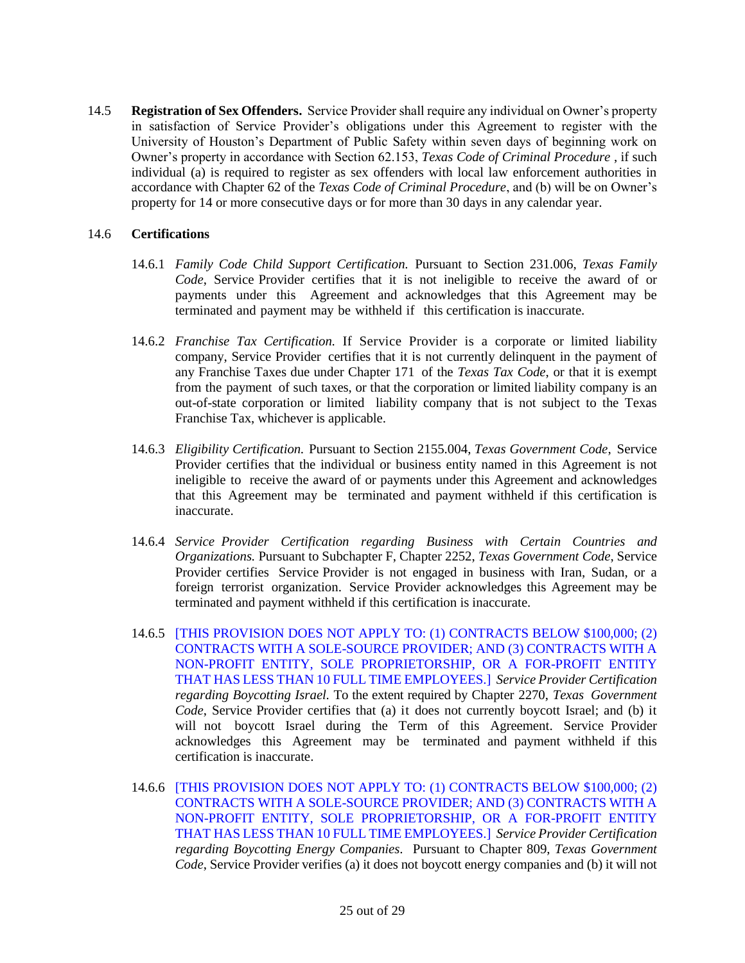14.5 **Registration of Sex Offenders.** Service Provider shall require any individual on Owner's property in satisfaction of Service Provider's obligations under this Agreement to register with the University of Houston's Department of Public Safety within seven days of beginning work on Owner's property in accordance with Section 62.153, *Texas Code of Criminal Procedure* , if such individual (a) is required to register as sex offenders with local law enforcement authorities in accordance with Chapter 62 of the *Texas Code of Criminal Procedure*, and (b) will be on Owner's property for 14 or more consecutive days or for more than 30 days in any calendar year.

#### 14.6 **Certifications**

- 14.6.1 *Family Code Child Support Certification.* Pursuant to Section 231.006, *Texas Family Code*, Service Provider certifies that it is not ineligible to receive the award of or payments under this Agreement and acknowledges that this Agreement may be terminated and payment may be withheld if this certification is inaccurate.
- 14.6.2 *Franchise Tax Certification.* If Service Provider is a corporate or limited liability company, Service Provider certifies that it is not currently delinquent in the payment of any Franchise Taxes due under Chapter 171 of the *Texas Tax Code*, or that it is exempt from the payment of such taxes, or that the corporation or limited liability company is an out-of-state corporation or limited liability company that is not subject to the Texas Franchise Tax, whichever is applicable.
- 14.6.3 *Eligibility Certification.* Pursuant to Section 2155.004, *Texas Government Code*, Service Provider certifies that the individual or business entity named in this Agreement is not ineligible to receive the award of or payments under this Agreement and acknowledges that this Agreement may be terminated and payment withheld if this certification is inaccurate.
- 14.6.4 *Service Provider Certification regarding Business with Certain Countries and Organizations.* Pursuant to Subchapter F, Chapter 2252, *Texas Government Code*, Service Provider certifies Service Provider is not engaged in business with Iran, Sudan, or a foreign terrorist organization. Service Provider acknowledges this Agreement may be terminated and payment withheld if this certification is inaccurate.
- 14.6.5 [THIS PROVISION DOES NOT APPLY TO: (1) CONTRACTS BELOW \$100,000; (2) CONTRACTS WITH A SOLE-SOURCE PROVIDER; AND (3) CONTRACTS WITH A NON-PROFIT ENTITY, SOLE PROPRIETORSHIP, OR A FOR-PROFIT ENTITY THAT HAS LESS THAN 10 FULL TIME EMPLOYEES.] *Service Provider Certification regarding Boycotting Israel.* To the extent required by Chapter 2270, *Texas Government Code*, Service Provider certifies that (a) it does not currently boycott Israel; and (b) it will not boycott Israel during the Term of this Agreement. Service Provider acknowledges this Agreement may be terminated and payment withheld if this certification is inaccurate.
- 14.6.6 [THIS PROVISION DOES NOT APPLY TO: (1) CONTRACTS BELOW \$100,000; (2) CONTRACTS WITH A SOLE-SOURCE PROVIDER; AND (3) CONTRACTS WITH A NON-PROFIT ENTITY, SOLE PROPRIETORSHIP, OR A FOR-PROFIT ENTITY THAT HAS LESS THAN 10 FULL TIME EMPLOYEES.] *Service Provider Certification regarding Boycotting Energy Companies.* Pursuant to Chapter 809, *Texas Government Code*, Service Provider verifies (a) it does not boycott energy companies and (b) it will not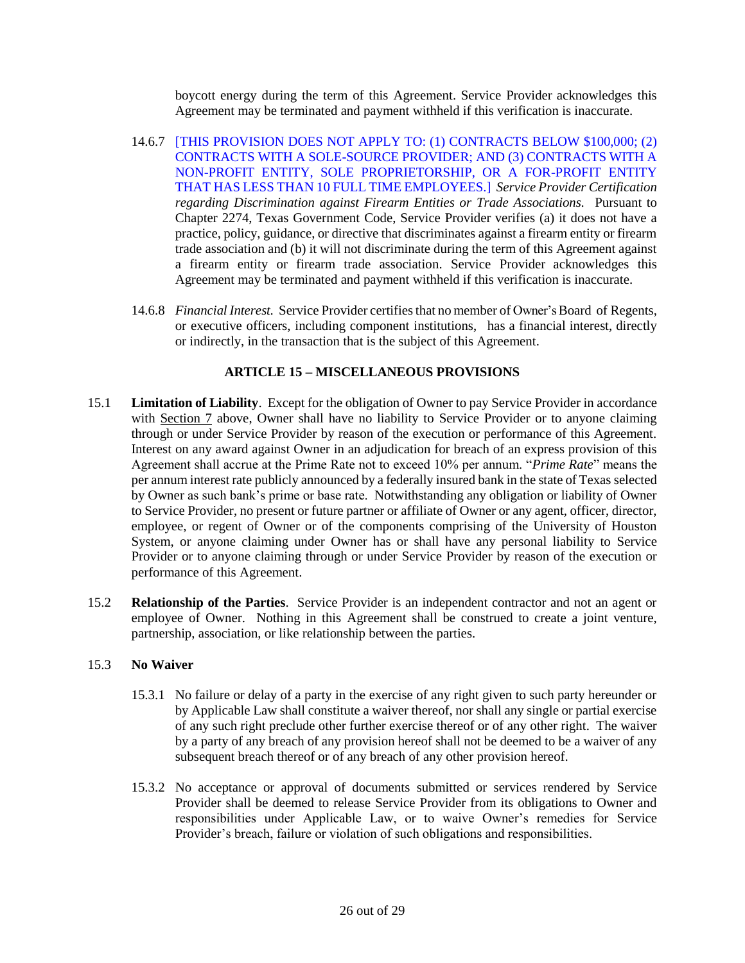boycott energy during the term of this Agreement. Service Provider acknowledges this Agreement may be terminated and payment withheld if this verification is inaccurate.

- 14.6.7 [THIS PROVISION DOES NOT APPLY TO: (1) CONTRACTS BELOW \$100,000; (2) CONTRACTS WITH A SOLE-SOURCE PROVIDER; AND (3) CONTRACTS WITH A NON-PROFIT ENTITY, SOLE PROPRIETORSHIP, OR A FOR-PROFIT ENTITY THAT HAS LESS THAN 10 FULL TIME EMPLOYEES.] *Service Provider Certification regarding Discrimination against Firearm Entities or Trade Associations.* Pursuant to Chapter 2274, Texas Government Code, Service Provider verifies (a) it does not have a practice, policy, guidance, or directive that discriminates against a firearm entity or firearm trade association and (b) it will not discriminate during the term of this Agreement against a firearm entity or firearm trade association. Service Provider acknowledges this Agreement may be terminated and payment withheld if this verification is inaccurate.
- 14.6.8 *Financial Interest.* Service Provider certifiesthat no member of Owner's Board of Regents, or executive officers, including component institutions, has a financial interest, directly or indirectly, in the transaction that is the subject of this Agreement.

# **ARTICLE 15 – MISCELLANEOUS PROVISIONS**

- <span id="page-25-0"></span>15.1 **Limitation of Liability**. Except for the obligation of Owner to pay Service Provider in accordance with Section 7 above, Owner shall have no liability to Service Provider or to anyone claiming through or under Service Provider by reason of the execution or performance of this Agreement. Interest on any award against Owner in an adjudication for breach of an express provision of this Agreement shall accrue at the Prime Rate not to exceed 10% per annum. "*Prime Rate*" means the per annum interest rate publicly announced by a federally insured bank in the state of Texas selected by Owner as such bank's prime or base rate. Notwithstanding any obligation or liability of Owner to Service Provider, no present or future partner or affiliate of Owner or any agent, officer, director, employee, or regent of Owner or of the components comprising of the University of Houston System, or anyone claiming under Owner has or shall have any personal liability to Service Provider or to anyone claiming through or under Service Provider by reason of the execution or performance of this Agreement.
- <span id="page-25-1"></span>15.2 **Relationship of the Parties**. Service Provider is an independent contractor and not an agent or employee of Owner. Nothing in this Agreement shall be construed to create a joint venture, partnership, association, or like relationship between the parties.

# <span id="page-25-2"></span>15.3 **No Waiver**

- 15.3.1 No failure or delay of a party in the exercise of any right given to such party hereunder or by Applicable Law shall constitute a waiver thereof, nor shall any single or partial exercise of any such right preclude other further exercise thereof or of any other right. The waiver by a party of any breach of any provision hereof shall not be deemed to be a waiver of any subsequent breach thereof or of any breach of any other provision hereof.
- 15.3.2 No acceptance or approval of documents submitted or services rendered by Service Provider shall be deemed to release Service Provider from its obligations to Owner and responsibilities under Applicable Law, or to waive Owner's remedies for Service Provider's breach, failure or violation of such obligations and responsibilities.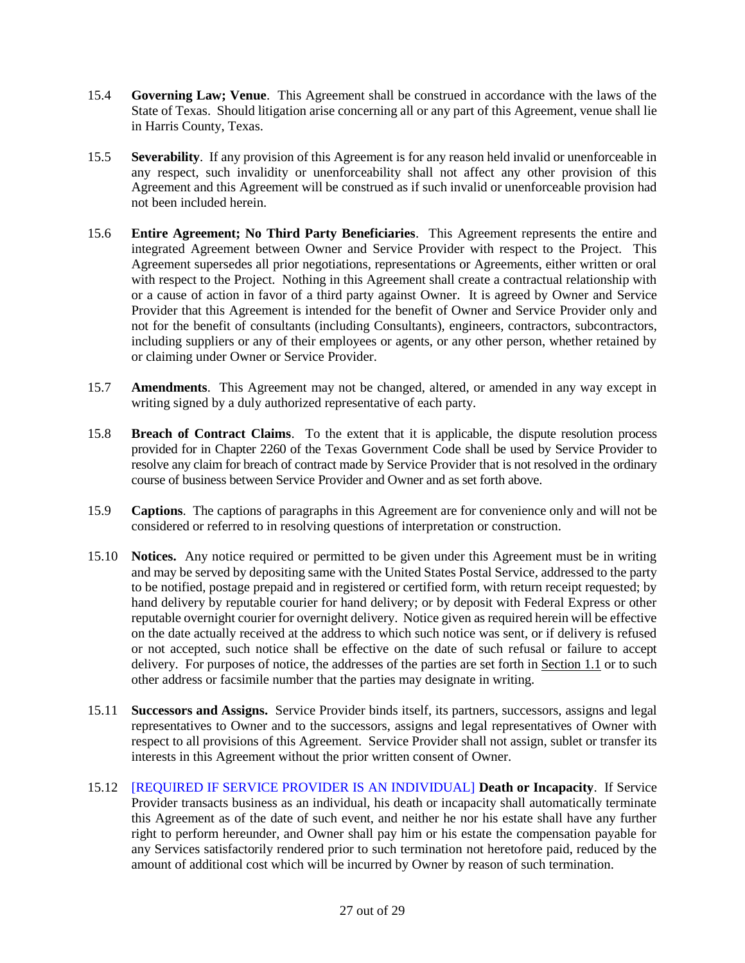- <span id="page-26-0"></span>15.4 **Governing Law; Venue**. This Agreement shall be construed in accordance with the laws of the State of Texas. Should litigation arise concerning all or any part of this Agreement, venue shall lie in Harris County, Texas.
- <span id="page-26-1"></span>15.5 **Severability**. If any provision of this Agreement is for any reason held invalid or unenforceable in any respect, such invalidity or unenforceability shall not affect any other provision of this Agreement and this Agreement will be construed as if such invalid or unenforceable provision had not been included herein.
- <span id="page-26-2"></span>15.6 **Entire Agreement; No Third Party Beneficiaries**. This Agreement represents the entire and integrated Agreement between Owner and Service Provider with respect to the Project. This Agreement supersedes all prior negotiations, representations or Agreements, either written or oral with respect to the Project. Nothing in this Agreement shall create a contractual relationship with or a cause of action in favor of a third party against Owner. It is agreed by Owner and Service Provider that this Agreement is intended for the benefit of Owner and Service Provider only and not for the benefit of consultants (including Consultants), engineers, contractors, subcontractors, including suppliers or any of their employees or agents, or any other person, whether retained by or claiming under Owner or Service Provider.
- <span id="page-26-3"></span>15.7 **Amendments**. This Agreement may not be changed, altered, or amended in any way except in writing signed by a duly authorized representative of each party.
- 15.8 **Breach of Contract Claims**. To the extent that it is applicable, the dispute resolution process provided for in Chapter 2260 of the Texas Government Code shall be used by Service Provider to resolve any claim for breach of contract made by Service Provider that is not resolved in the ordinary course of business between Service Provider and Owner and as set forth above.
- <span id="page-26-4"></span>15.9 **Captions**. The captions of paragraphs in this Agreement are for convenience only and will not be considered or referred to in resolving questions of interpretation or construction.
- <span id="page-26-5"></span>15.10 **Notices.** Any notice required or permitted to be given under this Agreement must be in writing and may be served by depositing same with the United States Postal Service, addressed to the party to be notified, postage prepaid and in registered or certified form, with return receipt requested; by hand delivery by reputable courier for hand delivery; or by deposit with Federal Express or other reputable overnight courier for overnight delivery. Notice given as required herein will be effective on the date actually received at the address to which such notice was sent, or if delivery is refused or not accepted, such notice shall be effective on the date of such refusal or failure to accept delivery. For purposes of notice, the addresses of the parties are set forth in Section 1.1 or to such other address or facsimile number that the parties may designate in writing.
- <span id="page-26-6"></span>15.11 **Successors and Assigns.** Service Provider binds itself, its partners, successors, assigns and legal representatives to Owner and to the successors, assigns and legal representatives of Owner with respect to all provisions of this Agreement. Service Provider shall not assign, sublet or transfer its interests in this Agreement without the prior written consent of Owner.
- <span id="page-26-7"></span>15.12 [REQUIRED IF SERVICE PROVIDER IS AN INDIVIDUAL] **Death or Incapacity**. If Service Provider transacts business as an individual, his death or incapacity shall automatically terminate this Agreement as of the date of such event, and neither he nor his estate shall have any further right to perform hereunder, and Owner shall pay him or his estate the compensation payable for any Services satisfactorily rendered prior to such termination not heretofore paid, reduced by the amount of additional cost which will be incurred by Owner by reason of such termination.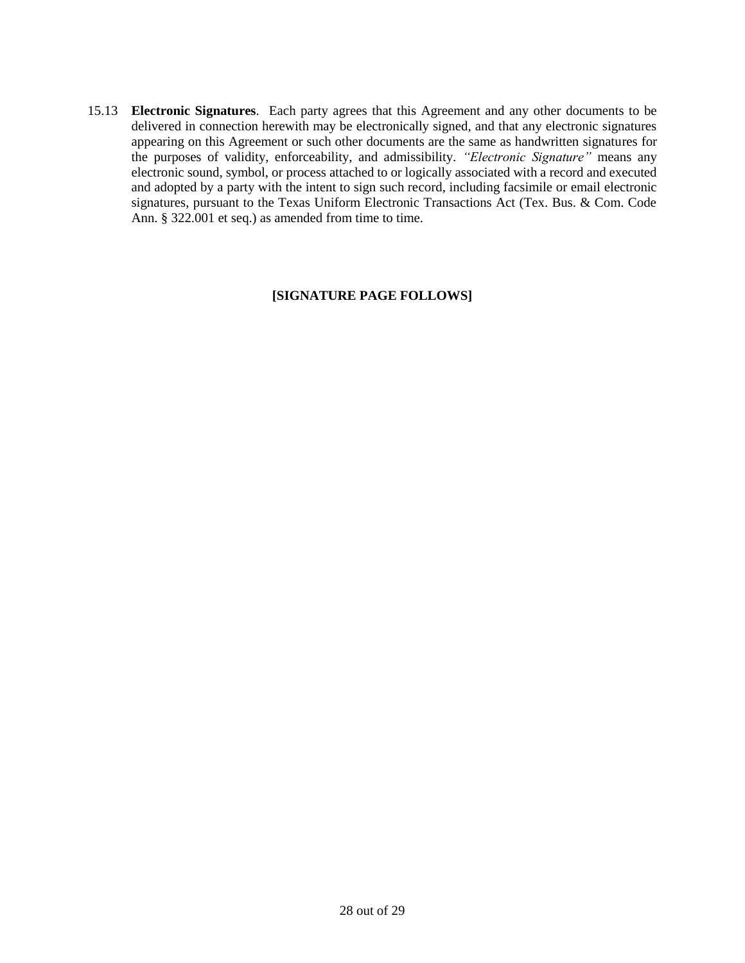15.13 **Electronic Signatures**. Each party agrees that this Agreement and any other documents to be delivered in connection herewith may be electronically signed, and that any electronic signatures appearing on this Agreement or such other documents are the same as handwritten signatures for the purposes of validity, enforceability, and admissibility. *"Electronic Signature"* means any electronic sound, symbol, or process attached to or logically associated with a record and executed and adopted by a party with the intent to sign such record, including facsimile or email electronic signatures, pursuant to the Texas Uniform Electronic Transactions Act (Tex. Bus. & Com. Code Ann. § 322.001 et seq.) as amended from time to time.

#### **[SIGNATURE PAGE FOLLOWS]**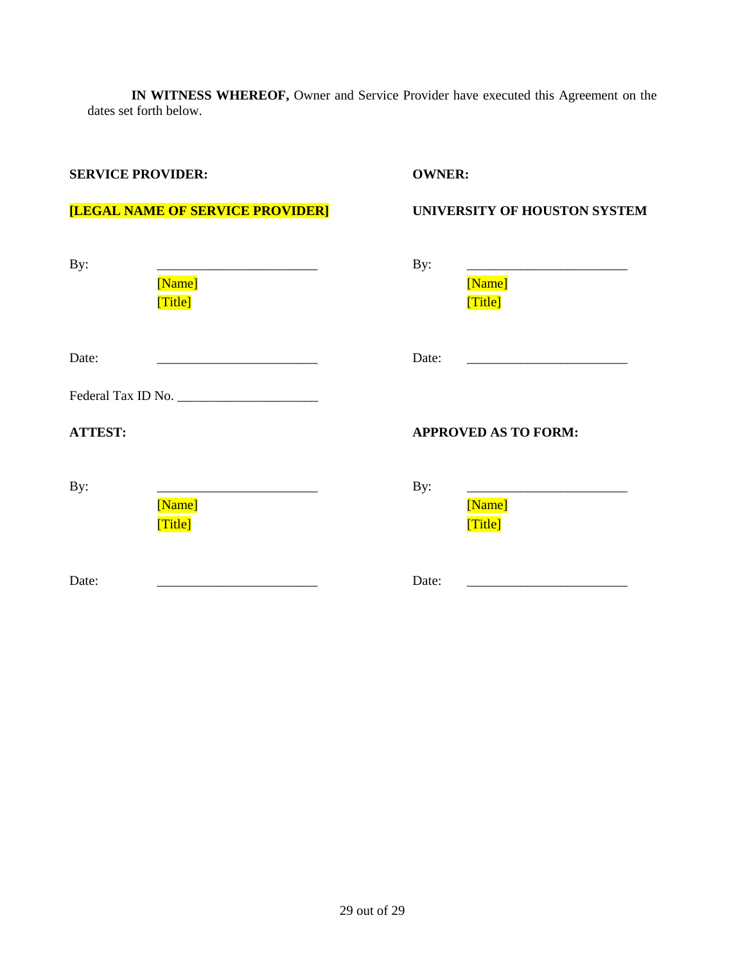**IN WITNESS WHEREOF,** Owner and Service Provider have executed this Agreement on the dates set forth below.

### **SERVICE PROVIDER: OWNER:**

# **[LEGAL NAME OF SERVICE PROVIDER] UNIVERSITY OF HOUSTON SYSTEM**

| By:            | [Name]<br>[Title] | By:   | [Name]<br>[Title]           |
|----------------|-------------------|-------|-----------------------------|
| Date:          |                   | Date: |                             |
|                |                   |       |                             |
| <b>ATTEST:</b> |                   |       | <b>APPROVED AS TO FORM:</b> |
| By:            |                   | By:   |                             |
|                | [Name]<br>[Title] |       | [Name]<br>[Title]           |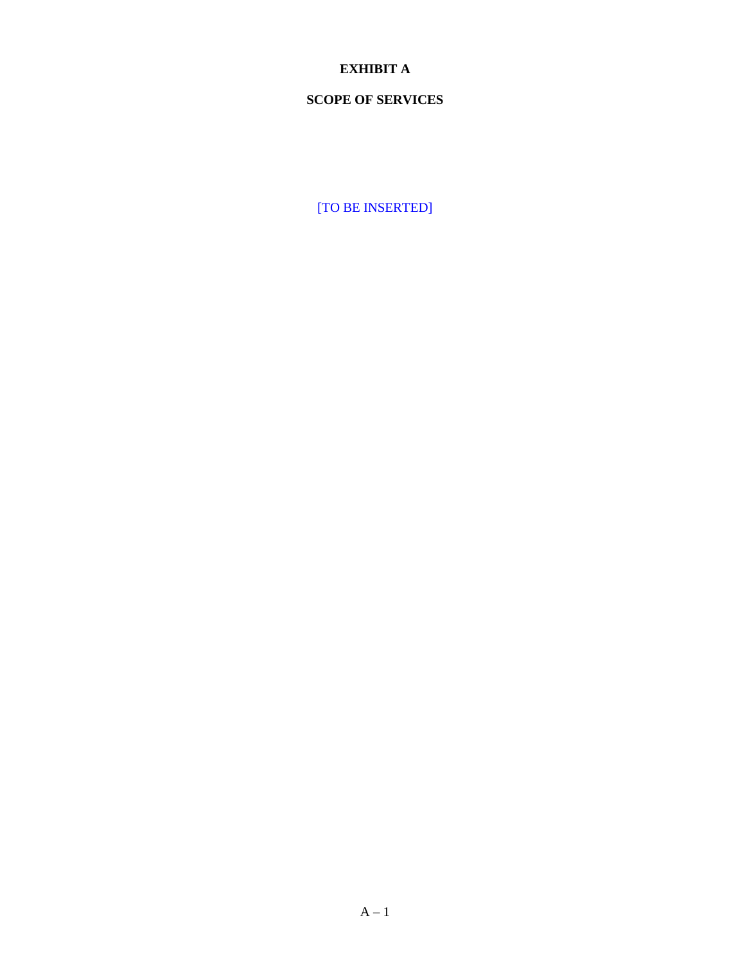# **EXHIBIT A**

# **SCOPE OF SERVICES**

[TO BE INSERTED]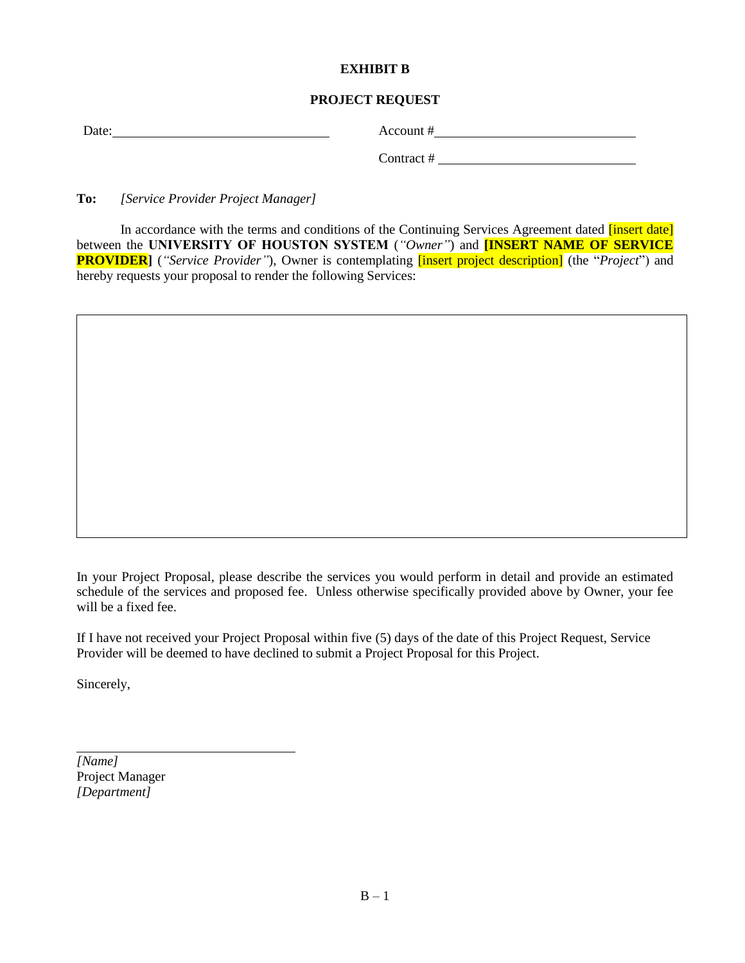#### **EXHIBIT B**

# **PROJECT REQUEST**

| Date: | Account # |
|-------|-----------|
|       |           |

Contract #

**To:** *[Service Provider Project Manager]*

In accordance with the terms and conditions of the Continuing Services Agreement dated *[insert date]* between the **UNIVERSITY OF HOUSTON SYSTEM** (*"Owner"*) and **[INSERT NAME OF SERVICE PROVIDER**] (*"Service Provider"*), Owner is contemplating *finsert project description*] (the *"Project"*) and hereby requests your proposal to render the following Services:

In your Project Proposal, please describe the services you would perform in detail and provide an estimated schedule of the services and proposed fee. Unless otherwise specifically provided above by Owner, your fee will be a fixed fee.

If I have not received your Project Proposal within five (5) days of the date of this Project Request, Service Provider will be deemed to have declined to submit a Project Proposal for this Project.

Sincerely,

*[Name]* Project Manager *[Department]*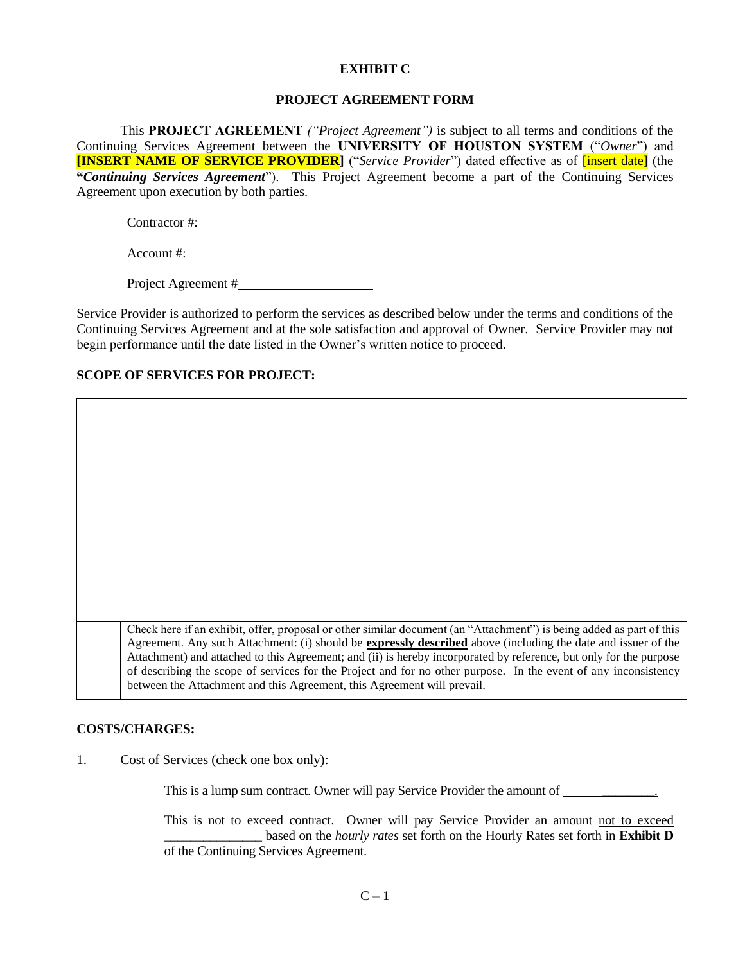#### **EXHIBIT C**

#### **PROJECT AGREEMENT FORM**

This **PROJECT AGREEMENT** *("Project Agreement")* is subject to all terms and conditions of the Continuing Services Agreement between the **UNIVERSITY OF HOUSTON SYSTEM** ("*Owner*") and **[INSERT NAME OF SERVICE PROVIDER]** ("*Service Provider*") dated effective as of [insert date] (the **"***Continuing Services Agreement*"). This Project Agreement become a part of the Continuing Services Agreement upon execution by both parties.

Contractor #:

Account #:

Project Agreement #

Service Provider is authorized to perform the services as described below under the terms and conditions of the Continuing Services Agreement and at the sole satisfaction and approval of Owner. Service Provider may not begin performance until the date listed in the Owner's written notice to proceed.

#### **SCOPE OF SERVICES FOR PROJECT:**

Check here if an exhibit, offer, proposal or other similar document (an "Attachment") is being added as part of this Agreement. Any such Attachment: (i) should be **expressly described** above (including the date and issuer of the Attachment) and attached to this Agreement; and (ii) is hereby incorporated by reference, but only for the purpose of describing the scope of services for the Project and for no other purpose. In the event of any inconsistency between the Attachment and this Agreement, this Agreement will prevail.

#### **COSTS/CHARGES:**

1. Cost of Services (check one box only):

This is a lump sum contract. Owner will pay Service Provider the amount of \_\_\_\_\_\_\_\_\_\_\_\_.

This is not to exceed contract. Owner will pay Service Provider an amount not to exceed \_\_\_\_\_\_\_\_\_\_\_\_\_\_\_ based on the *hourly rates* set forth on the Hourly Rates set forth in **Exhibit D** of the Continuing Services Agreement.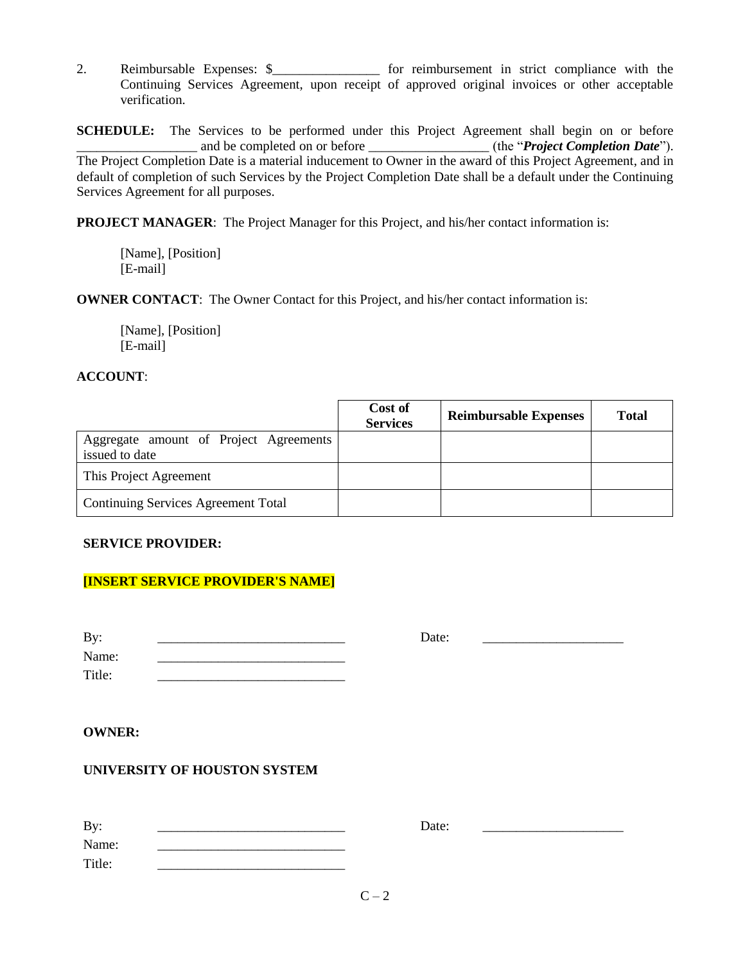2. Reimbursable Expenses: \$\_\_\_\_\_\_\_\_\_\_\_\_\_\_\_\_ for reimbursement in strict compliance with the Continuing Services Agreement, upon receipt of approved original invoices or other acceptable verification.

**SCHEDULE:** The Services to be performed under this Project Agreement shall begin on or before \_\_\_\_\_\_\_\_\_\_\_\_\_\_\_\_\_\_ and be completed on or before \_\_\_\_\_\_\_\_\_\_\_\_\_\_\_\_\_\_ (the "*Project Completion Date*"). The Project Completion Date is a material inducement to Owner in the award of this Project Agreement, and in default of completion of such Services by the Project Completion Date shall be a default under the Continuing Services Agreement for all purposes.

**PROJECT MANAGER**: The Project Manager for this Project, and his/her contact information is:

[Name], [Position] [E-mail]

**OWNER CONTACT:** The Owner Contact for this Project, and his/her contact information is:

[Name], [Position] [E-mail]

#### **ACCOUNT**:

|                                                          | Cost of<br><b>Services</b> | <b>Reimbursable Expenses</b> | <b>Total</b> |
|----------------------------------------------------------|----------------------------|------------------------------|--------------|
| Aggregate amount of Project Agreements<br>issued to date |                            |                              |              |
| This Project Agreement                                   |                            |                              |              |
| <b>Continuing Services Agreement Total</b>               |                            |                              |              |

#### **SERVICE PROVIDER:**

# **[INSERT SERVICE PROVIDER'S NAME]**

| By:    | Date: |  |
|--------|-------|--|
| Name:  |       |  |
| Title: |       |  |

#### **OWNER:**

# **UNIVERSITY OF HOUSTON SYSTEM**

| By:    | Date: |  |
|--------|-------|--|
| Name:  |       |  |
| Title: |       |  |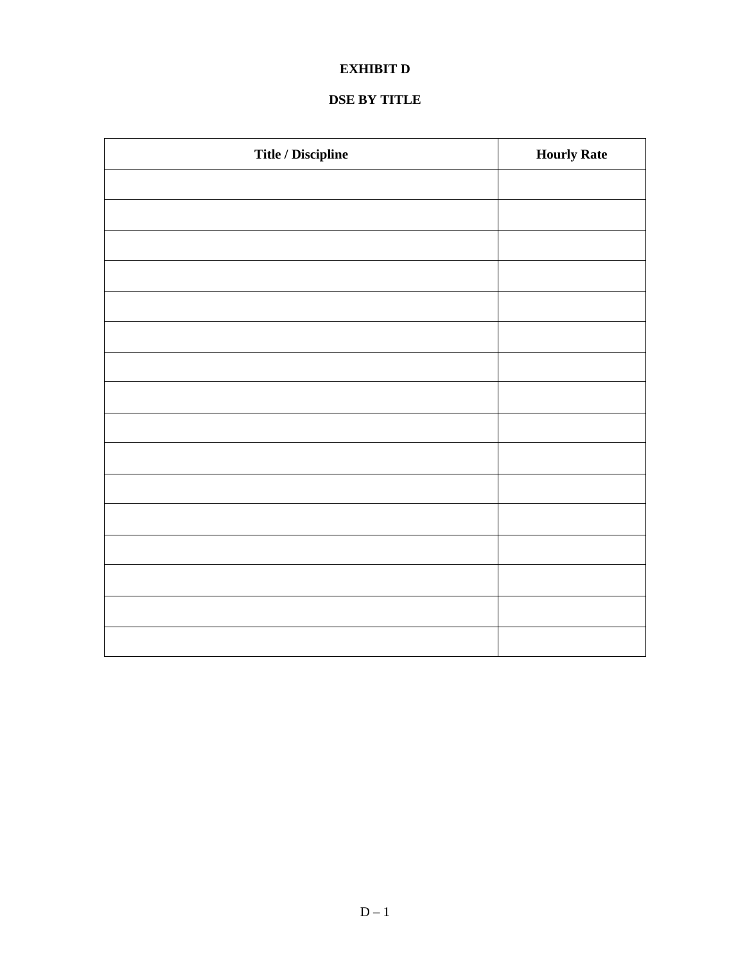# **EXHIBIT D**

# **DSE BY TITLE**

| Title / Discipline | <b>Hourly Rate</b> |
|--------------------|--------------------|
|                    |                    |
|                    |                    |
|                    |                    |
|                    |                    |
|                    |                    |
|                    |                    |
|                    |                    |
|                    |                    |
|                    |                    |
|                    |                    |
|                    |                    |
|                    |                    |
|                    |                    |
|                    |                    |
|                    |                    |
|                    |                    |